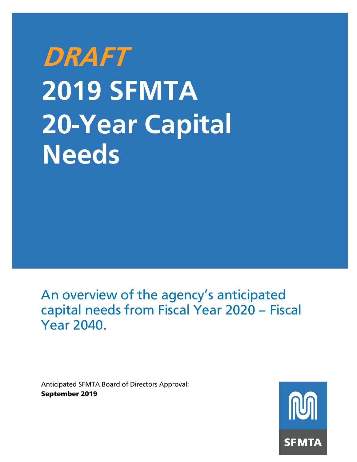# **DRAFT 2019 SFMTA 20-Year Capital Needs**

An overview of the agency's anticipated capital needs from Fiscal Year 2020 – Fiscal Year 2040.

Anticipated SFMTA Board of Directors Approval: September 2019

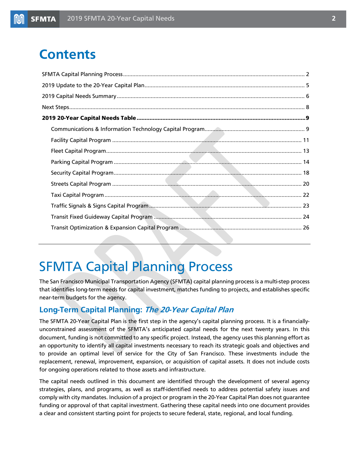### **Contents**

### <span id="page-1-0"></span>SFMTA Capital Planning Process

The San Francisco Municipal Transportation Agency (SFMTA) capital planning process is a multi-step process that identifies long-term needs for capital investment, matches funding to projects, and establishes specific near-term budgets for the agency.

#### **Long-Term Capital Planning: The 20-Year Capital Plan**

The SFMTA 20-Year Capital Plan is the first step in the agency's capital planning process. It is a financiallyunconstrained assessment of the SFMTA's anticipated capital needs for the next twenty years. In this document, funding is not committed to any specific project. Instead, the agency uses this planning effort as an opportunity to identify all capital investments necessary to reach its strategic goals and objectives and to provide an optimal level of service for the City of San Francisco. These investments include the replacement, renewal, improvement, expansion, or acquisition of capital assets. It does not include costs for ongoing operations related to those assets and infrastructure.

The capital needs outlined in this document are identified through the development of several agency strategies, plans, and programs, as well as staff-identified needs to address potential safety issues and comply with city mandates. Inclusion of a project or program in the 20-Year Capital Plan does not guarantee funding or approval of that capital investment. Gathering these capital needs into one document provides a clear and consistent starting point for projects to secure federal, state, regional, and local funding.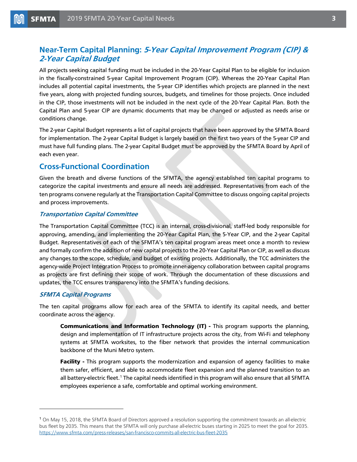### **Near-Term Capital Planning: 5-Year Capital Improvement Program (CIP) & 2-Year Capital Budget**

All projects seeking capital funding must be included in the 20-Year Capital Plan to be eligible for inclusion in the fiscally-constrained 5-year Capital Improvement Program (CIP). Whereas the 20-Year Capital Plan includes all potential capital investments, the 5-year CIP identifies which projects are planned in the next five years, along with projected funding sources, budgets, and timelines for those projects. Once included in the CIP, those investments will not be included in the next cycle of the 20-Year Capital Plan. Both the Capital Plan and 5-year CIP are dynamic documents that may be changed or adjusted as needs arise or conditions change.

The 2-year Capital Budget represents a list of capital projects that have been approved by the SFMTA Board for implementation. The 2-year Capital Budget is largely based on the first two years of the 5-year CIP and must have full funding plans. The 2-year Capital Budget must be approved by the SFMTA Board by April of each even year.

#### **Cross-Functional Coordination**

Given the breath and diverse functions of the SFMTA, the agency established ten capital programs to categorize the capital investments and ensure all needs are addressed. Representatives from each of the ten programs convene regularly at the Transportation Capital Committee to discuss ongoing capital projects and process improvements.

#### **Transportation Capital Committee**

The Transportation Capital Committee (TCC) is an internal, cross-divisional, staff-led body responsible for approving, amending, and implementing the 20-Year Capital Plan, the 5-Year CIP, and the 2-year Capital Budget. Representatives of each of the SFMTA's ten capital program areas meet once a month to review and formally confirm the addition of new capital projects to the 20-Year Capital Plan or CIP, as well as discuss any changes to the scope, schedule, and budget of existing projects. Additionally, the TCC administers the agency-wide Project Integration Process to promote inner-agency collaboration between capital programs as projects are first defining their scope of work. Through the documentation of these discussions and updates, the TCC ensures transparency into the SFMTA's funding decisions.

#### **SFMTA Capital Programs**

l

The ten capital programs allow for each area of the SFMTA to identify its capital needs, and better coordinate across the agency.

Communications and Information Technology (IT) - This program supports the planning, design and implementation of IT infrastructure projects across the city, from Wi-Fi and telephony systems at SFMTA worksites, to the fiber network that provides the internal communication backbone of the Muni Metro system.

Facility - This program supports the modernization and expansion of agency facilities to make them safer, efficient, and able to accommodate fleet expansion and the planned transition to an all battery-electric fleet. [1](#page-2-0) The capital needs identified in this program will also ensure that all SFMTA employees experience a safe, comfortable and optimal working environment.

<span id="page-2-0"></span><sup>1</sup> On May 15, 2018, the SFMTA Board of Directors approved a resolution supporting the commitment towards an all-electric bus fleet by 2035. This means that the SFMTA will only purchase all-electric buses starting in 2025 to meet the goal for 2035. <https://www.sfmta.com/press-releases/san-francisco-commits-all-electric-bus-fleet-2035>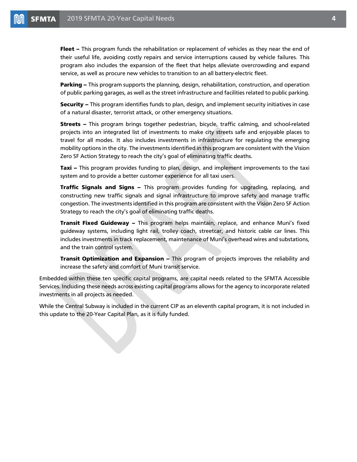**Fleet –** This program funds the rehabilitation or replacement of vehicles as they near the end of their useful life, avoiding costly repairs and service interruptions caused by vehicle failures. This program also includes the expansion of the fleet that helps alleviate overcrowding and expand service, as well as procure new vehicles to transition to an all battery-electric fleet.

Parking – This program supports the planning, design, rehabilitation, construction, and operation of public parking garages, as well as the street infrastructure and facilities related to public parking.

Security – This program identifies funds to plan, design, and implement security initiatives in case of a natural disaster, terrorist attack, or other emergency situations.

**Streets –** This program brings together pedestrian, bicycle, traffic calming, and school-related projects into an integrated list of investments to make city streets safe and enjoyable places to travel for all modes. It also includes investments in infrastructure for regulating the emerging mobility options in the city. The investments identified in this program are consistent with the Vision Zero SF Action Strategy to reach the city's goal of eliminating traffic deaths.

**Taxi** – This program provides funding to plan, design, and implement improvements to the taxi system and to provide a better customer experience for all taxi users.

**Traffic Signals and Signs –** This program provides funding for upgrading, replacing, and constructing new traffic signals and signal infrastructure to improve safety and manage traffic congestion. The investments identified in this program are consistent with the Vision Zero SF Action Strategy to reach the city's goal of eliminating traffic deaths.

**Transit Fixed Guideway –** This program helps maintain, replace, and enhance Muni's fixed guideway systems, including light rail, trolley coach, streetcar, and historic cable car lines. This includes investments in track replacement, maintenance of Muni's overhead wires and substations, and the train control system.

**Transit Optimization and Expansion –** This program of projects improves the reliability and increase the safety and comfort of Muni transit service.

Embedded within these ten specific capital programs, are capital needs related to the SFMTA Accessible Services. Including these needs across existing capital programs allows for the agency to incorporate related investments in all projects as needed.

<span id="page-3-0"></span>While the Central Subway is included in the current CIP as an eleventh capital program, it is not included in this update to the 20-Year Capital Plan, as it is fully funded.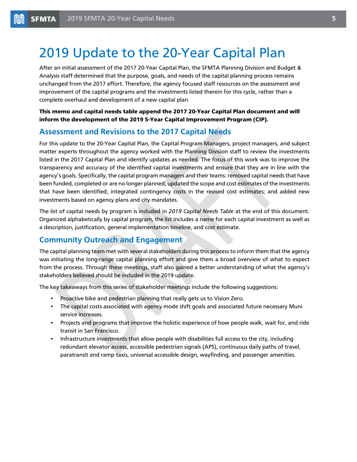## 2019 Update to the 20-Year Capital Plan

After an initial assessment of the 2017 20-Year Capital Plan, the SFMTA Planning Division and Budget & Analysis staff determined that the purpose, goals, and needs of the capital planning process remains unchanged from the 2017 effort. Therefore, the agency focused staff resources on the assessment and improvement of the capital programs and the investments listed therein for this cycle, rather than a complete overhaul and development of a new capital plan.

This memo and capital needs table append the 2017 20-Year Capital Plan document and will inform the development of the 2019 5-Year Capital Improvement Program (CIP).

#### **Assessment and Revisions to the 2017 Capital Needs**

For this update to the 20-Year Capital Plan, the Capital Program Managers, project managers, and subject matter experts throughout the agency worked with the Planning Division staff to review the investments listed in the 2017 Capital Plan and identify updates as needed. The focus of this work was to improve the transparency and accuracy of the identified capital investments and ensure that they are in line with the agency's goals. Specifically, the capital program managers and their teams: removed capital needs that have been funded, completed or are no longer planned; updated the scope and cost estimates of the investments that have been identified; integrated contingency costs in the revised cost estimates; and added new investments based on agency plans and city mandates.

The list of capital needs by program is included in *2019 Capital Needs Table* at the end of this document. Organized alphabetically by capital program, the list includes a name for each capital investment as well as a description, justification, general implementation timeline, and cost estimate.

#### **Community Outreach and Engagement**

The capital planning team met with several stakeholders during this process to inform them that the agency was initiating the long-range capital planning effort and give them a broad overview of what to expect from the process. Through these meetings, staff also gained a better understanding of what the agency's stakeholders believed should be included in the 2019 update.

The key takeaways from this series of stakeholder meetings include the following suggestions:

- Proactive bike and pedestrian planning that really gets us to Vision Zero.
- The capital costs associated with agency mode shift goals and associated future necessary Muni service increases.
- Projects and programs that improve the holistic experience of how people walk, wait for, and ride transit in San Francisco.
- <span id="page-4-0"></span>• Infrastructure investments that allow people with disabilities full access to the city, including redundant elevator access, accessible pedestrian signals (APS), continuous daily paths of travel, paratransit and ramp taxis, universal accessible design, wayfinding, and passenger amenities.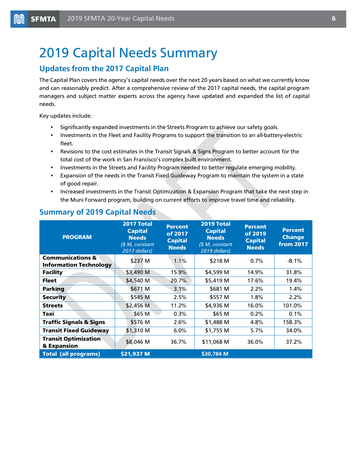### 2019 Capital Needs Summary

### **Updates from the 2017 Capital Plan**

The Capital Plan covers the agency's capital needs over the next 20 years based on what we currently know and can reasonably predict. After a comprehensive review of the 2017 capital needs, the capital program managers and subject matter experts across the agency have updated and expanded the list of capital needs.

Key updates include:

- Significantly expanded investments in the Streets Program to achieve our safety goals.
- Investments in the Fleet and Facility Programs to support the transition to an all-battery-electric fleet.
- Revisions to the cost estimates in the Transit Signals & Signs Program to better account for the total cost of the work in San Francisco's complex built environment.
- Investments in the Streets and Facility Program needed to better regulate emerging mobility.
- Expansion of the needs in the Transit Fixed Guideway Program to maintain the system in a state of good repair.
- Increased investments in the Transit Optimization & Expansion Program that take the next step in the Muni Forward program, building on current efforts to improve travel time and reliability.

| <b>PROGRAM</b>                                               | 2017 Total<br><b>Capital</b><br><b>Needs</b><br>\$M, constant<br>2017 dollars) | <b>Percent</b><br>of 2017<br><b>Capital</b><br><b>Needs</b> | 2019 Total<br><b>Capital</b><br><b>Needs</b><br>(\$ M, constant<br>2019 dollars) | <b>Percent</b><br>of 2019<br><b>Capital</b><br><b>Needs</b> | <b>Percent</b><br><b>Change</b><br><b>from 2017</b> |
|--------------------------------------------------------------|--------------------------------------------------------------------------------|-------------------------------------------------------------|----------------------------------------------------------------------------------|-------------------------------------------------------------|-----------------------------------------------------|
| <b>Communications &amp;</b><br><b>Information Technology</b> | \$237 M                                                                        | $1.1\%$                                                     | \$218 M                                                                          | $0.7\%$                                                     | $-8.1%$                                             |
| <b>Facility</b>                                              | \$3,490 M                                                                      | 15.9%                                                       | \$4,599 M                                                                        | 14.9%                                                       | 31.8%                                               |
| <b>Fleet</b>                                                 | \$4,540 M                                                                      | 20.7%                                                       | \$5,419 M                                                                        | 17.6%                                                       | 19.4%                                               |
| <b>Parking</b>                                               | \$671 M                                                                        | 3.1%                                                        | \$681 M                                                                          | 2.2%                                                        | $1.4\%$                                             |
| <b>Security</b>                                              | \$545 M                                                                        | 2.5%                                                        | \$557 M                                                                          | 1.8%                                                        | 2.2%                                                |
| <b>Streets</b>                                               | \$2,456 M                                                                      | 11.2%                                                       | \$4,936 M                                                                        | 16.0%                                                       | 101.0%                                              |
| Taxi                                                         | \$65 M                                                                         | 0.3%                                                        | \$65 M                                                                           | 0.2%                                                        | 0.1%                                                |
| <b>Traffic Signals &amp; Signs</b>                           | \$576 M                                                                        | 2.6%                                                        | \$1,488 M                                                                        | 4.8%                                                        | 158.3%                                              |
| <b>Transit Fixed Guideway</b>                                | \$1,310 M                                                                      | $6.0\%$                                                     | \$1,755 M                                                                        | 5.7%                                                        | 34.0%                                               |
| <b>Transit Optimization</b><br>& Expansion                   | \$8,046 M                                                                      | 36.7%                                                       | \$11,068 M                                                                       | 36.0%                                                       | 37.2%                                               |
| <b>Total (all programs)</b>                                  | \$21,937 M                                                                     |                                                             | \$30,784 M                                                                       |                                                             |                                                     |

#### **Summary of 2019 Capital Needs**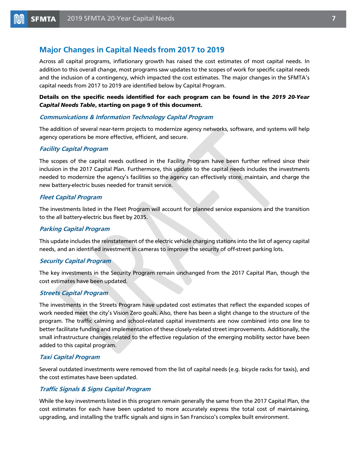#### **Major Changes in Capital Needs from 2017 to 2019**

Across all capital programs, inflationary growth has raised the cost estimates of most capital needs. In addition to this overall change, most programs saw updates to the scopes of work for specific capital needs and the inclusion of a contingency, which impacted the cost estimates. The major changes in the SFMTA's capital needs from 2017 to 2019 are identified below by Capital Program.

#### Details on the specific needs identified for each program can be found in the *2019 20-Year Capital Needs Table*, starting on page 9 of this document.

#### **Communications & Information Technology Capital Program**

The addition of several near-term projects to modernize agency networks, software, and systems will help agency operations be more effective, efficient, and secure.

#### **Facility Capital Program**

The scopes of the capital needs outlined in the Facility Program have been further refined since their inclusion in the 2017 Capital Plan. Furthermore, this update to the capital needs includes the investments needed to modernize the agency's facilities so the agency can effectively store, maintain, and charge the new battery-electric buses needed for transit service.

#### **Fleet Capital Program**

The investments listed in the Fleet Program will account for planned service expansions and the transition to the all battery-electric bus fleet by 2035.

#### **Parking Capital Program**

This update includes the reinstatement of the electric vehicle charging stations into the list of agency capital needs, and an identified investment in cameras to improve the security of off-street parking lots.

#### **Security Capital Program**

The key investments in the Security Program remain unchanged from the 2017 Capital Plan, though the cost estimates have been updated.

#### **Streets Capital Program**

The investments in the Streets Program have updated cost estimates that reflect the expanded scopes of work needed meet the city's Vision Zero goals. Also, there has been a slight change to the structure of the program. The traffic calming and school-related capital investments are now combined into one line to better facilitate funding and implementation of these closely-related street improvements. Additionally, the small infrastructure changes related to the effective regulation of the emerging mobility sector have been added to this capital program.

#### **Taxi Capital Program**

Several outdated investments were removed from the list of capital needs (e.g. bicycle racks for taxis), and the cost estimates have been updated.

#### **Traffic Signals & Signs Capital Program**

While the key investments listed in this program remain generally the same from the 2017 Capital Plan, the cost estimates for each have been updated to more accurately express the total cost of maintaining, upgrading, and installing the traffic signals and signs in San Francisco's complex built environment.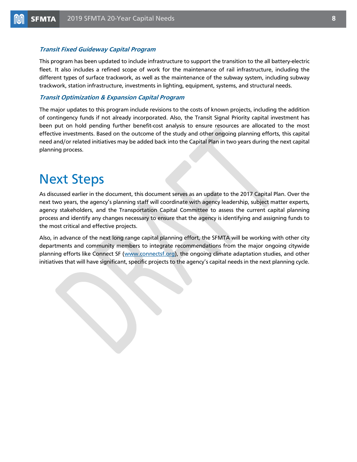#### **Transit Fixed Guideway Capital Program**

This program has been updated to include infrastructure to support the transition to the all battery-electric fleet. It also includes a refined scope of work for the maintenance of rail infrastructure, including the different types of surface trackwork, as well as the maintenance of the subway system, including subway trackwork, station infrastructure, investments in lighting, equipment, systems, and structural needs.

#### **Transit Optimization & Expansion Capital Program**

The major updates to this program include revisions to the costs of known projects, including the addition of contingency funds if not already incorporated. Also, the Transit Signal Priority capital investment has been put on hold pending further benefit-cost analysis to ensure resources are allocated to the most effective investments. Based on the outcome of the study and other ongoing planning efforts, this capital need and/or related initiatives may be added back into the Capital Plan in two years during the next capital planning process.

### <span id="page-7-0"></span>Next Steps

As discussed earlier in the document, this document serves as an update to the 2017 Capital Plan. Over the next two years, the agency's planning staff will coordinate with agency leadership, subject matter experts, agency stakeholders, and the Transportation Capital Committee to assess the current capital planning process and identify any changes necessary to ensure that the agency is identifying and assigning funds to the most critical and effective projects.

Also, in advance of the next long range capital planning effort, the SFMTA will be working with other city departments and community members to integrate recommendations from the major ongoing citywide planning efforts like Connect SF [\(www.connectsf.org\)](http://www.connectsf.org/), the ongoing climate adaptation studies, and other initiatives that will have significant, specific projects to the agency's capital needs in the next planning cycle.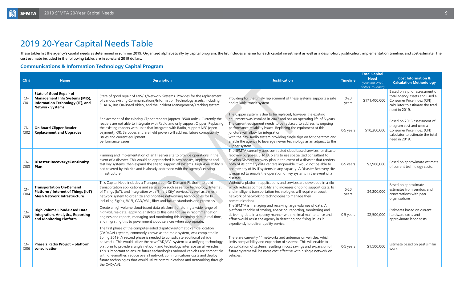# <span id="page-8-0"></span>2019 20-Year Capital Needs Table

These tables list the agency's capital needs as determined in summer 2019. Organized alphabetically by capital program, the list includes a name for each capital investment as well as a description, justification, implemen cost estimate included in the following tables are in constant 2019 dollars.

### <span id="page-8-1"></span>**Communications & Information Technology Capital Program**

| CN#           | <b>Name</b>                                                                                                                                                                                                                                                                                                                                                                                                                                                                                                                                                                                                                                                                                                                 | <b>Description</b>                                                                                                                                                                                                                                                                                                                                                                                                                                                                                                                                                                                                                                              | <b>Justification</b>                                                                                                                                                                                                                                                                                                                                                                                                                                                                     | <b>Timeline</b>   | <b>Total Capital</b><br><b>Need</b><br>(constant 2019)<br>dollars, rounded) | <b>Cost Information &amp;</b><br><b>Calculation Methodology</b>                                                                                     |
|---------------|-----------------------------------------------------------------------------------------------------------------------------------------------------------------------------------------------------------------------------------------------------------------------------------------------------------------------------------------------------------------------------------------------------------------------------------------------------------------------------------------------------------------------------------------------------------------------------------------------------------------------------------------------------------------------------------------------------------------------------|-----------------------------------------------------------------------------------------------------------------------------------------------------------------------------------------------------------------------------------------------------------------------------------------------------------------------------------------------------------------------------------------------------------------------------------------------------------------------------------------------------------------------------------------------------------------------------------------------------------------------------------------------------------------|------------------------------------------------------------------------------------------------------------------------------------------------------------------------------------------------------------------------------------------------------------------------------------------------------------------------------------------------------------------------------------------------------------------------------------------------------------------------------------------|-------------------|-----------------------------------------------------------------------------|-----------------------------------------------------------------------------------------------------------------------------------------------------|
| CN-<br>C101   | <b>State of Good Repair of</b><br><b>Management Info Systems (MIS),</b><br><b>Information Technology (IT), and</b><br><b>Network Systems</b>                                                                                                                                                                                                                                                                                                                                                                                                                                                                                                                                                                                | State of good repair of MIS/IT/Network Systems. Provides for the replacement<br>of various existing Communications/Information Technology assets, including<br>SCADA, Bus On-Board Video, and the Incident Management/Tracking system.                                                                                                                                                                                                                                                                                                                                                                                                                          | Providing for the timely replacement of these systems supports a safe<br>and reliable transit system.                                                                                                                                                                                                                                                                                                                                                                                    | $0 - 20$<br>years | \$171,400,000                                                               | Based on a prior assessment of<br>total agency assets and used a<br>Consumer Price Index (CPI)<br>calculator to estimate the total<br>need in 2019. |
| CN-<br>CIO2   | <b>On Board Clipper Reader</b><br><b>Replacement and Upgrades</b>                                                                                                                                                                                                                                                                                                                                                                                                                                                                                                                                                                                                                                                           | Replacement of the existing Clipper readers (approx. 3500 units). Currently the<br>readers are not able to integrate with Radio and only support Clipper. Replacing<br>the existing readers with units that integrate with Radio, support NFC (open<br>payment), QR/Barcodes and are field proven will address future compatibility<br>issues and current equipment<br>performance issues.                                                                                                                                                                                                                                                                      | The Clipper system is due to be replaced, however the existing<br>equipment was installed in 2007 and has an operating life of 5 years.<br>The current equipment needs to be replaced to address its ongoing<br>performance reliability issues. Replacing the equipment at this<br>juncture will allow for integration<br>with the new Radio system providing single sign on for operators and<br>enable the agency to leverage newer technology as an adjunct to the<br>Clipper system. | 0-5 years         | \$10,200,000                                                                | Based on 2015 assessment of<br>program cost and used a<br>Consumer Price Index (CPI)<br>calculator to estimate the total<br>need in 2019.           |
| $CN-$<br>C103 | <b>Disaster Recovery/Continuity</b><br>Plan                                                                                                                                                                                                                                                                                                                                                                                                                                                                                                                                                                                                                                                                                 | Planning and implementation of an IT server site to provide operations in the<br>event of a disaster. This would be approached in two phases, implement and<br>test key systems, then expand the site to support all systems. High Availability is<br>not covered by this site and is already addressed with the agency's existing<br>infrastructure.                                                                                                                                                                                                                                                                                                           | The SFMTA currently uses contracted cloud-based services for disaster<br>recovery purposes. SFMTA plans to use specialized consultant to<br>develop Disaster recovery plan in the event of a disaster that renders<br>both of its primary data centers inoperable it would not be able to<br>operate any of its IT systems in any capacity. A Disaster Recovery site<br>is required to enable the operation of key systems in the event of a<br>disaster.                                | 0-5 years         | \$2,900,000                                                                 | Based on approximate estimate<br>of current technology costs.                                                                                       |
| CN-<br>C104   | Without a platform, applications and services are developed in a silo<br>This Capital Need includes a Transportation On-Demand Platform to build<br>transportation applications and services on such as sensor technology, Internet<br><b>Transportation On-Demand</b><br>of Things (IoT), and integration with "Smart City" services, as well as a mesh<br>and intelligent transportation technologies will require a robust<br>Platform / Internet of Things (IoT)<br>network system to organize and prioritize networking technologies for IoT<br>network of networking technologies to manage their<br><b>Mesh Network Infrastructure</b><br>including Sigfox, WIFI, CAD/AVL, fiber and future standards and protocols. |                                                                                                                                                                                                                                                                                                                                                                                                                                                                                                                                                                                                                                                                 | which reduces compatibility and increases ongoing support costs. IoT<br>communications.                                                                                                                                                                                                                                                                                                                                                                                                  | $5 - 20$<br>years | \$4,200,000                                                                 | Based on approximate<br>estimates from vendors and<br>conversations with peer<br>organizations.                                                     |
| CN-<br>CI05   | <b>High Volume Cloud-Based Data</b><br><b>Integration, Analytics, Reporting</b><br>and Monitoring Platform                                                                                                                                                                                                                                                                                                                                                                                                                                                                                                                                                                                                                  | Create a high-volume cloud-based data platform for storing a wide range of<br>high-volume data, applying analytics to this data for use in recommendation<br>engines and reports, managing and monitoring this incoming data in real-time,<br>and migrating this to government cloud services when appropriate.                                                                                                                                                                                                                                                                                                                                                 | The SFMTA is managing and receiving large volumes of data. A<br>platform capable of storing, analyzing, reporting, monitoring and<br>delivering data in a speedy manner with minimal maintenance and<br>effort would assist the agency in detecting and fixing issues in<br>expediently to deliver quality service.                                                                                                                                                                      | 0-5 years         | \$2,500,000                                                                 | Estimates based on current<br>hardware costs and<br>approximate labor costs.                                                                        |
| CN-<br>C106   | Phase 2 Radio Project - platform<br>consolidation                                                                                                                                                                                                                                                                                                                                                                                                                                                                                                                                                                                                                                                                           | The first phase of the computer-aided dispatch/automatic vehicle location<br>(CAD/AVL) system, commonly known as the radio system, was completed in<br>Spring 2019. A second phase is needed to consolidate additional vehicle<br>networks. This would utilize the new CAD/AVL system as a unifying technology<br>platform to provide a single network and technology interface on all vehicles.<br>This is important to ensure future technologies onboard vehicles are compatible<br>with one-another, reduce overall network communications costs and deploy<br>future technologies that would utilize communications and networking through<br>the CAD/AVL. | There are currently 11 networks and antennas on vehicles, which<br>limits compatibility and expansion of systems. This will enable to<br>consolidation of systems resulting in cost savings and expansion of<br>future systems will be more cost effective with a single network on<br>vehicles.                                                                                                                                                                                         | 0-5 years         | \$1,500,000                                                                 | Estimate based on past similar<br>work.                                                                                                             |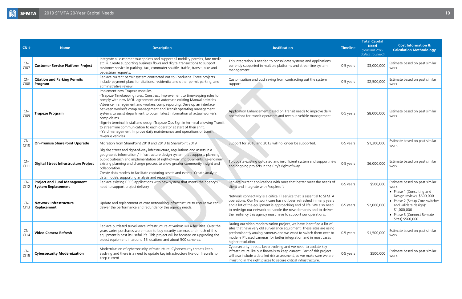| CN#                | <b>Name</b>                                                     | <b>Description</b>                                                                                                                                                                                                                                                                                                                                                                                                                                                                                                                                                                                                                                                                                 | <b>Justification</b>                                                                                                                                                                                                                                                                                                                                        | <b>Timeline</b> | <b>Total Capital</b><br><b>Need</b><br>(constant 2019)<br>dollars, rounded) | <b>Cost Information &amp;</b><br><b>Calculation Methodology</b>                                                                                                                   |
|--------------------|-----------------------------------------------------------------|----------------------------------------------------------------------------------------------------------------------------------------------------------------------------------------------------------------------------------------------------------------------------------------------------------------------------------------------------------------------------------------------------------------------------------------------------------------------------------------------------------------------------------------------------------------------------------------------------------------------------------------------------------------------------------------------------|-------------------------------------------------------------------------------------------------------------------------------------------------------------------------------------------------------------------------------------------------------------------------------------------------------------------------------------------------------------|-----------------|-----------------------------------------------------------------------------|-----------------------------------------------------------------------------------------------------------------------------------------------------------------------------------|
| CN-<br><b>CI07</b> | <b>Customer Service Platform Project</b>                        | Integrate all customer touchpoints and support all mobility permits, fare media,<br>etc. ii. Create supporting business flows and digital transactions to support<br>customer service in parking, taxi, commuter shuttle, traffic, transit, bike and<br>pedestrian requests.                                                                                                                                                                                                                                                                                                                                                                                                                       | This integration is needed to consolidate systems and applications<br>currently supported in multiple platforms and streamline system<br>management.                                                                                                                                                                                                        | 0-5 years       | \$3,000,000                                                                 | Estimate based on past similar<br>work.                                                                                                                                           |
| CN-<br>C108        | <b>Citation and Parking Permits</b><br>Program                  | Replace current permit system contracted out to Conduent. Three projects<br>include payment plans for citations, residential and other permit parking, and<br>administrative review.                                                                                                                                                                                                                                                                                                                                                                                                                                                                                                               | Customization and cost saving from contracting out the system<br>support                                                                                                                                                                                                                                                                                    | 0-5 years       | \$2,500,000                                                                 | Estimate based on past similar<br>work.                                                                                                                                           |
| CN-<br>C109        | <b>Trapeze Program</b>                                          | Implement new Trapeze modules.<br>- Trapeze Timekeeping rules: Construct Improvement to timekeeping rules to<br>comply with new MOU agreement and automate existing Manual activities.<br>-Absence management and workers comp reporting: Develop an interface<br>between worker's comp management and Transit operating management<br>systems to assist department to obtain latest information of actual worker's<br>comp claims.<br>-Sign-in terminal: Install and design Trapeze Ops Sign in terminal allowing Transit<br>to streamline communication to each operator at start of their shift.<br>- Yard management: Improve daily maintenance and operations of transit<br>revenue vehicles. | Application Enhancement based on Transit needs to improve daily<br>operations for transit operators and revenue vehicle management                                                                                                                                                                                                                          | 0-5 years       | \$8,000,000                                                                 | Estimate based on past similar<br>work.                                                                                                                                           |
| CN-<br>C110        | <b>On-Premise SharePoint Upgrade</b>                            | Migration from SharePoint 2010 and 2013 to SharePoint 2019                                                                                                                                                                                                                                                                                                                                                                                                                                                                                                                                                                                                                                         | Support for 2010 and 2013 will no longer be supported.                                                                                                                                                                                                                                                                                                      | 0-5 years       | \$1,200,000                                                                 | Estimate based on past similar<br>work.                                                                                                                                           |
| <b>CN</b><br>CI1   | <b>Digital Street Infrastructure Project</b>                    | Digitize street and right-of-way infrastructure, regulations and assets in a<br>geographic information / infrastructure design system that supports planning,<br>public outreach and implementation of right-of-way improvements. Re-engineer<br>existing planning and change process to allow greater community insight and<br>collaboration.<br>Create data models to facilitate capturing assets and events. Create analytic<br>data models supporting analysis and reporting.                                                                                                                                                                                                                  | To update existing outdated and insufficient system and support new<br>and ongoing projects in the City's right-of-way.                                                                                                                                                                                                                                     | 0-5 years       | \$6,000,000                                                                 | Estimate based on past similar<br>work.                                                                                                                                           |
| <b>CN</b><br>CI12  | <b>Project and Fund Management</b><br><b>System Replacement</b> | Replace existing CPCS applications with new system that meets the agency's<br>need to support project delivery                                                                                                                                                                                                                                                                                                                                                                                                                                                                                                                                                                                     | Replace current applications with ones that better meet the needs of<br>client and integrate with Peoplesoft                                                                                                                                                                                                                                                | 0-5 years       | \$500,000                                                                   | Estimate based on past similar<br>work.                                                                                                                                           |
| CI13               | <b>Network Infrastructure</b><br>Replacement                    | Update and replacement of core networking infrastructure to ensure we can<br>deliver the performance and redundancy this agency needs.                                                                                                                                                                                                                                                                                                                                                                                                                                                                                                                                                             | Network connectivity is a critical IT service that is essential to SFMTA<br>operations. Our Network core has not been refreshed in many years<br>and a lot of the equipment is approaching end of life. We also need<br>to redesign our network to handle the new demands and to deliver<br>the resiliency this agency must have to support our operations. | 0-5 years       | \$2,000,000                                                                 | • Phase 1 (Consulting and<br>Design review): \$500,000<br>• Phase 2 (Setup Core switches<br>and validate design):<br>\$1,000,000<br>• Phase 3 (Connect Remote<br>Sites) \$500,000 |
| CN-<br>C114        | <b>Video Camera Refresh</b>                                     | Replace outdated surveillance infrastructure at various MTA facilities. Over the<br>years varies purchases were made to buy security cameras and much of this<br>equipment is past its useful life. This project will be focused on upgrading the<br>oldest equipment in around 15 locations and about 500 cameras.                                                                                                                                                                                                                                                                                                                                                                                | During our video modernization project, we have identified a list of<br>sites that have very old surveillance equipment. These sites are using<br>predominantly analog cameras and we want to switch them over to<br>modern IP based cameras for better integration and in most cases<br>higher resolution.                                                 | 0-5 years       | \$1,500,000                                                                 | Estimate based on past similar<br>work.                                                                                                                                           |
| CN-<br>CI15        | <b>Cybersecurity Modernization</b>                              | Modernization of cybersecurity infrastructure. Cybersecurity threats keep<br>evolving and there is a need to update key infrastructure like our firewalls to<br>keep current.                                                                                                                                                                                                                                                                                                                                                                                                                                                                                                                      | Cybersecurity threats keep evolving and we need to update key<br>infrastructure like our firewalls to keep current. Part of this project<br>will also include a detailed risk assessment, so we make sure we are<br>investing in the right places to secure critical infrastructure.                                                                        | 0-5 years       | \$500,000                                                                   | Estimate based on past similar<br>work.                                                                                                                                           |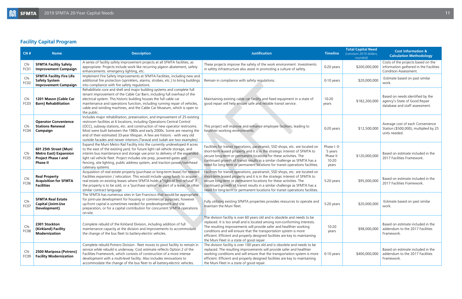### <span id="page-10-0"></span>**Facility Capital Program**

| CN#                     | <b>Name</b>                                                                                            | <b>Description</b>                                                                                                                                                                                                                                                                                                                                                                                                                                                        | <b>Justification</b>                                                                                                                                                                                                                                                                                                                                                                                                            | <b>Timeline</b>                                       | <b>Total Capital Need</b><br>(constant 2019 dollars,<br>rounded) | <b>Cost Information &amp;</b><br><b>Calculation Methodology</b>                                       |
|-------------------------|--------------------------------------------------------------------------------------------------------|---------------------------------------------------------------------------------------------------------------------------------------------------------------------------------------------------------------------------------------------------------------------------------------------------------------------------------------------------------------------------------------------------------------------------------------------------------------------------|---------------------------------------------------------------------------------------------------------------------------------------------------------------------------------------------------------------------------------------------------------------------------------------------------------------------------------------------------------------------------------------------------------------------------------|-------------------------------------------------------|------------------------------------------------------------------|-------------------------------------------------------------------------------------------------------|
| CN-<br>FC01             | <b>SFMTA Facility Safety</b><br><b>Improvement Campaign</b>                                            | A series of facility safety improvement projects at all SFMTA facilities, as<br>appropriate. Projects include work like recurring pigeon abatement, safety<br>enhancements. emergency lighting, etc.                                                                                                                                                                                                                                                                      | These projects improve the safety of the work environment. Investments<br>in safety infrastructure also assist in promoting a culture of safety.                                                                                                                                                                                                                                                                                | 0-20 years                                            | \$200,000,000                                                    | Costs of the projects based on the<br>information gathered in the Facilities<br>Condition Assessment. |
| $CN-$<br>FC02           | <b>SFMTA Facility Fire Life</b><br><b>Safety System</b><br><b>Improvement Campaign</b>                 | Implement Fire Safety Improvements at SFMTA Facilities, including new and<br>additional fire protection (sprinklers, alarms, strobes, etc.) to bring buildings<br>into compliance with fire safety regulations.                                                                                                                                                                                                                                                           | Remain in compliance with safety regulations.                                                                                                                                                                                                                                                                                                                                                                                   | 0-10 years                                            | \$20,000,000                                                     | Estimate based on past similar<br>work.                                                               |
| CN-<br>FC <sub>03</sub> | 1201 Mason (Cable Car<br><b>Barn) Rehabilitation</b>                                                   | Rehabilitate core and shell and major building systems and complete full<br>tenant improvement of the Cable Car Barn, including full overhaul of the<br>electrical system. This historic building houses the full cable car<br>maintenance and operations function, including running repair of vehicles,<br>cable and winding machines, and the Cable Car Museum, which is open to<br>the public.                                                                        | Maintaining existing cable car facility and fixed equipment in a state of<br>good repair will help ensure safe and reliable transit service.                                                                                                                                                                                                                                                                                    | $10 - 20$<br>years                                    | \$182,200,000                                                    | Based on needs identified by the<br>agency's State of Good Repair<br>database and staff assessment.   |
| CN-<br>FC04             | <b>Operator Convenience</b><br><b>Stations Renewal</b><br>Campaign                                     | Includes major rehabilitation, preservation, and improvement of 25 existing<br>restroom facilities at 6 locations, including Operations Central Control<br>(OCC), subway stations, etc. and construction of new operator restrooms.<br>Most were built between the 1980s and early 2000s. Some are nearing the<br>end of their estimated 33-year lifespan. A few are historic - with very old<br>outside facades and newer interiors (Taraval and Judah are two examples) | This project will improve and enhance employee facilities, leading to<br>healthier working environments.                                                                                                                                                                                                                                                                                                                        | 0-20 years                                            | \$12,500,000                                                     | Average cost of each Convenience<br>Station (\$500,000), multiplied by 25<br>units needed.            |
| CN-<br>FC05             | 601 25th Street (Muni<br><b>Metro East) Expansion</b><br><b>Project Phase I and</b><br><b>Phase II</b> | Expand the Muni Metro Rail Facility into the currently undeveloped 4 acres<br>to the east of the existing yard, for future light rail vehicle storage, and<br>interim bus maintenance and storage use prior to delivery of the expanded<br>light rail vehicle fleet. Project includes site prep, powered gates and<br>fencing, site lighting, public address system, and traction power/overhead<br>catenary systems.                                                     | Facilities for transit operations, paratransit, SSD shops, etc. are located on<br>short-term leased property and it is in the strategic interest of SFMTA to<br>secure long-term or permanent locations for these activities. The<br>continued growth of transit results in a similar challenge as SFMTA has a<br>need for long-term or permanent locations for transit operations facilities.                                  | Phase I: 0-<br>5 years<br>Phase II:<br>10-20<br>years | \$120,000,000                                                    | Based on estimate included in the<br>2017 Facilities Framework.                                       |
| CN-<br><b>FC06</b>      | <b>Real Property</b><br><b>Acquisition for SFMTA</b><br><b>Facilities</b>                              | Acquisition of real estate property (purchase or long-term lease) for needed<br>Facilities expansion / relocation. This would include using funds to acquire<br>real estate on existing leases where SFMTA holds a "right of first refusal" if<br>the property is to be sold, or a "purchase option" as part of a lease, or other<br>similar contract language.                                                                                                           | Facilities for transit operations, paratransit, SSD shops, etc. are located on<br>short-term leased property and it is in the strategic interest of SFMTA to<br>secure long-term or permanent locations for these activities. The<br>continued growth of transit results in a similar challenge as SFMTA has a<br>need for long-term or permanent locations for transit operations facilities.                                  | 5-20 years                                            | \$95,000,000                                                     | Based on estimate included in the<br>2017 Facilities Framework.                                       |
| CN-<br>FC07             | <b>SFMTA Real Estate</b><br><b>Capital (Joint-Use</b><br>Development)                                  | The SFMTA has numerous sites in San Francisco that would be appropriate<br>for joint-use development for housing or commercial purposes; however<br>up-front capital is sometimes needed for predevelopment and site<br>preparation, or for a capital contribution for concurrent SFMTA operations<br>on-site.                                                                                                                                                            | Fully utilizing existing SFMTA properties provides resources to operate and<br>maintain the Muni fleet.                                                                                                                                                                                                                                                                                                                         | 5-20 years                                            | \$20,000,000                                                     | Estimate based on past similar<br>work.                                                               |
| CN-<br>FC08             | 2301 Stockton<br>(Kirkland) Facility<br><b>Modernization</b>                                           | Complete rebuild of the Kirkland Division, including addition of full<br>maintenance capacity at the division and improvements to accommodate<br>the change of the bus fleet to battery-electric vehicles.                                                                                                                                                                                                                                                                | The division facility is over 60 years old and is obsolete and needs to be<br>replaced. It is too small and is located among non-conforming interests.<br>The resulting improvements will provide safer and healthier working<br>conditions and will ensure that the transportation system is more<br>efficient. Efficient and properly designed facilities are key to maintaining<br>the Muni Fleet in a state of good repair. | $10 - 20$<br>years                                    | \$98,000,000                                                     | Based on estimate included in the<br>addendum to the 2017 Facilities<br>Framework.                    |
| CN-<br>FC09             | 2500 Mariposa (Potrero)<br><b>Facility Modernization</b>                                               | Complete rebuild Potrero Division - fleet moves to pivot facility to remain in<br>service while rebuild is underway. Cost estimate reflects Option 2 of the<br>Facilities Framework, which consists of construction of a more intense<br>development with a multi-level facility. Also includes renovations to<br>accommodate the change of the bus fleet to all battery-electric vehicles.                                                                               | The division facility is over 100 years old and is obsolete and needs to be<br>replaced. The resulting improvements will provide safer and healthier<br>working conditions and will ensure that the transportation system is more<br>efficient. Efficient and properly designed facilities are key to maintaining<br>the Muni Fleet in a state of good repair.                                                                  | 0-10 years                                            | \$400,000,000                                                    | Based on estimate included in the<br>addendum to the 2017 Facilities<br>Framework.                    |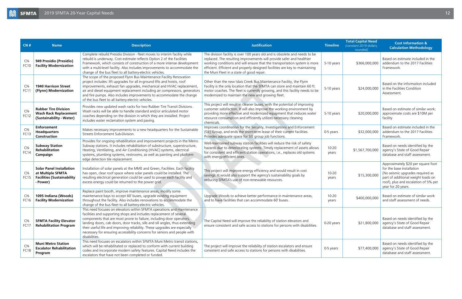| CN#                     | <b>Name</b>                                                                                           | <b>Description</b>                                                                                                                                                                                                                                                                                                                                                                                                                                                                | <b>Justification</b>                                                                                                                                                                                                                                                                                                                                           | <b>Timeline</b>    | <b>Total Capital Need</b><br>(constant 2019 dollars,<br>rounded) | <b>Cost Information &amp;</b><br><b>Calculation Methodology</b>                                                                                                                                         |
|-------------------------|-------------------------------------------------------------------------------------------------------|-----------------------------------------------------------------------------------------------------------------------------------------------------------------------------------------------------------------------------------------------------------------------------------------------------------------------------------------------------------------------------------------------------------------------------------------------------------------------------------|----------------------------------------------------------------------------------------------------------------------------------------------------------------------------------------------------------------------------------------------------------------------------------------------------------------------------------------------------------------|--------------------|------------------------------------------------------------------|---------------------------------------------------------------------------------------------------------------------------------------------------------------------------------------------------------|
| CN-<br><b>FC10</b>      | 949 Presidio (Presidio)<br><b>Facility Modernization</b>                                              | Complete rebuild Presidio Division - fleet moves to interim facility while<br>rebuild is underway. Cost estimate reflects Option 2 of the Facilities<br>Framework, which consists of construction of a more intense development<br>with a multi-level facility. Also includes improvements to accommodate the<br>change of the bus fleet to all battery-electric vehicles.                                                                                                        | The division facility is over 100 years old and is obsolete and needs to be<br>replaced. The resulting improvements will provide safer and healthier<br>working conditions and will ensure that the transportation system is more<br>efficient. Efficient and properly designed facilities are key to maintaining<br>the Muni Fleet in a state of good repair. | 5-10 years         | \$366,000,000                                                    | Based on estimate included in the<br>addendum to the 2017 Facilities<br>Framework.                                                                                                                      |
| CN-<br><b>FC11</b>      | <b>1940 Harrison Street</b><br>(Flynn) Modernization                                                  | The scope of the proposed Flynn Bus Maintenance Facility Renovation<br>project includes: lift upgrades for all in-ground lifts and hoists, roof<br>improvements, exhaust fan upgrades, mechanical and HVAC replacement,<br>air and diesel equipment replacement including air compressors, generators<br>and fire pumps. Also includes improvements to accommodate the change<br>of the bus fleet to all battery-electric vehicles.                                               | Other than the new Islais Creek Bus Maintenance Facility, the Flynn<br>Facility is the only location that the SFMTA can store and maintain 60 ft.<br>motor coaches. The fleet is currently growing, and this facility needs to be<br>modernized to maintain the new and growing fleet.                                                                         | 5-10 years         | \$24,000,000                                                     | Based on the information included<br>in the Facilities Condition<br>Assessment.                                                                                                                         |
| CN-<br>FC12             | <b>Rubber Tire Division</b><br><b>Wash Rack Replacement</b><br>(Sustainability - Water)               | Provides new updated wash racks for two Rubber Tire Transit Divisions.<br>Wash racks will be able to handle standard and/or articulated motor<br>coaches depending on the division in which they are installed. Project<br>includes water reclamation system and paving.                                                                                                                                                                                                          | This project will result in cleaner buses, with the potential of improving<br>customer satisfaction. It will also improve the working environment by<br>providing more effective and modernized equipment that reduces water<br>resource consumption and efficiently utilizes necessary cleaning<br>chemicals.                                                 | 5-10 years         | \$20,000,000                                                     | Based on estimate of similar work;<br>approximate costs are \$10M per<br>facility                                                                                                                       |
| CN-<br>FC13             | <b>Enforcement</b><br><b>Headquarters</b><br>Construction                                             | Makes necessary improvements to a new headquarters for the Sustainable<br>Streets Enforcement Sub-Division.                                                                                                                                                                                                                                                                                                                                                                       | Improves coordination for the Security, Investigations and Enforcement<br>(SIE) Group, and ends the short-term lease of their current facilities.<br>Provides adequate space for SIE group job functions.                                                                                                                                                      | 0-5 years          | \$32,000,000                                                     | Based on estimate included in the<br>addendum to the 2017 Facilities<br>Framework.                                                                                                                      |
| CN-<br>FC14             | <b>Subway Station</b><br>Rehabilitation<br>Campaign                                                   | Provides for ongoing rehabilitation and improvement projects in the Metro<br>Subway stations. It includes rehabilitation of substructure, superstructure,<br>Heating, Ventilating, and Air Conditioning (HVAC) systems, electrical<br>systems, plumbing systems, restrooms, as well as painting and platform<br>edge detection tile replacement.                                                                                                                                  | Well-maintained subway station facilities will reduce the risk of safety<br>hazards due to deteriorating systems. Timely replacement of assets allows<br>for consistent and efficient station operations, i.e., replaces old systems<br>with energy-efficient ones.                                                                                            | 10-20<br>years     | \$1,567,700,000                                                  | Based on needs identified by the<br>agency's State of Good Repair<br>database and staff assessment.                                                                                                     |
| CN-<br>FC <sub>15</sub> | <b>Solar Panel Installation</b><br>at Multiple SFMTA<br><b>Facilities (Sustainability</b><br>- Power) | Installation of solar panels at the MME and Green, Facilities. Each facility<br>has open, clear roof space where solar panels could be installed. The<br>resulting electrical generation could be used to power each facility and<br>excess energy could be returned to the power grid.                                                                                                                                                                                           | This project will improve energy efficiency and would result in cost<br>savings. It would also support the agency's sustainability goals by<br>reducing SFMTA's use of non-renewable resources.                                                                                                                                                                | 10-20<br>years     | \$15,300,000                                                     | Approximately \$20 per square foot<br>for the base installation<br>(No seismic upgrades required as<br>part of additional weight loads on<br>roof), plus and escalation of 5% per<br>year for 20 years. |
| CN-<br>FC16             | 1095 Indiana (Woods)<br><b>Facility Modernization</b>                                                 | Replace paint booth, improve maintenance areas, modify some<br>maintenance bays to accept 60' buses, upgrade existing equipment<br>throughout the facility. Also includes renovations to accommodate the<br>change of the bus fleet to all battery-electric vehicles.                                                                                                                                                                                                             | Upgrade Woods to achieve better performance in maintenance areas,<br>and to have facilities that can accommodate 60' buses.                                                                                                                                                                                                                                    | $10 - 20$<br>years | \$400,000,000                                                    | Based on estimate of similar work<br>and staff assessment of needs.                                                                                                                                     |
| CN-<br><b>FC17</b>      | <b>SFMTA Facility Elevator</b><br><b>Rehabilitation Program</b>                                       | This need focuses on elevators within SFMTA operations and maintenance<br>facilities and supporting shops and includes replacement of several<br>components that are most prone to failure, including door operators,<br>landing doors, cab doors, door tracks, sills and sill angles, thus extending<br>their useful life and improving reliability. These upgrades are especially<br>necessary for ensuring accessibility concerns for seniors and people with<br>disabilities. | The Capital Need will improve the reliability of station elevators and<br>ensure consistent and safe access to stations for persons with disabilities.                                                                                                                                                                                                         | 0-20 years         | \$21,800,000                                                     | Based on needs identified by the<br>agency's State of Good Repair<br>database and staff assessment.                                                                                                     |
| CN-<br>FC18             | <b>Muni Metro Station</b><br><b>Escalator Rehabilitation</b><br>Program                               | This need focuses on escalators within SFMTA Muni Metro transit stations,<br>which will be rehabilitated or replaced to conform with current building<br>codes and incorporate modern safety features. Capital Need includes the<br>escalators that have not been completed or funded.                                                                                                                                                                                            | The project will improve the reliability of station escalators and ensure<br>consistent and safe access to stations for persons with disabilities.                                                                                                                                                                                                             | 0-5 years          | \$77,400,000                                                     | Based on needs identified by the<br>agency's State of Good Repair<br>database and staff assessment.                                                                                                     |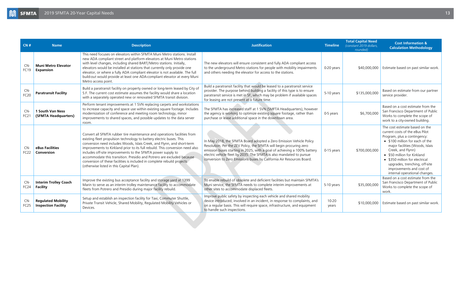<span id="page-12-0"></span>

| CN#                       | <b>Name</b>                                             | <b>Description</b>                                                                                                                                                                                                                                                                                                                                                                                                                                                                                                                                                            | <b>Justification</b>                                                                                                                                                                                                                                                                                                                                                    | <b>Timeline</b>    | <b>Total Capital Need</b><br>(constant 2019 dollars,<br>rounded) | <b>Cost Information &amp;</b><br><b>Calculation Methodology</b>                                                                                                                                                                                                                                                                                             |
|---------------------------|---------------------------------------------------------|-------------------------------------------------------------------------------------------------------------------------------------------------------------------------------------------------------------------------------------------------------------------------------------------------------------------------------------------------------------------------------------------------------------------------------------------------------------------------------------------------------------------------------------------------------------------------------|-------------------------------------------------------------------------------------------------------------------------------------------------------------------------------------------------------------------------------------------------------------------------------------------------------------------------------------------------------------------------|--------------------|------------------------------------------------------------------|-------------------------------------------------------------------------------------------------------------------------------------------------------------------------------------------------------------------------------------------------------------------------------------------------------------------------------------------------------------|
| $CN-$<br><b>FC19</b>      | <b>Muni Metro Elevator</b><br><b>Expansion</b>          | This need focuses on elevators within SFMTA Muni Metro stations. Install<br>new ADA compliant street and platform elevators at Muni Metro stations<br>with level changes, including shared BART/Metro stations. Initially,<br>elevators would be installed at stations that currently only provide one<br>elevator, or where a fully ADA compliant elevator is not available. The full<br>build-out would provide at least one ADA-compliant elevator at every Muni<br>Metro access point.                                                                                    | The new elevators will ensure consistent and fully ADA compliant access<br>to the underground Metro stations for people with mobility impairments<br>and others needing the elevator for access to the stations.                                                                                                                                                        | 0-20 years         | \$40,000,000                                                     | Estimate based on past similar work.                                                                                                                                                                                                                                                                                                                        |
| $CN-$<br><b>FC20</b>      | <b>Paratransit Facility</b>                             | Build a paratransit facility on property owned or long-term leased by City of<br>S.F. The current cost estimate assumes the facility would share a location<br>with a separately operated new or renovated SFMTA transit division.                                                                                                                                                                                                                                                                                                                                            | Build a paratransit facility that would be leased to a paratransit service<br>provider. The purpose behind building a facility of this type is to ensure<br>paratransit service is met in SF, which may be problem if available spaces<br>for leasing are not present at a future time.                                                                                 | 5-10 years         | \$135,000,000                                                    | Based on estimate from our partner<br>service provider.                                                                                                                                                                                                                                                                                                     |
| $CN-$<br>FC <sub>21</sub> | <b>1 South Van Ness</b><br>(SFMTA Headquarters)         | Perform tenant improvements at 1 SVN replacing carpets and workstations<br>to increase capacity and space use within existing square footage. Includes<br>modernization of conference and meeting room technology, minor<br>improvements to shared spaces, and possible updates to the data server<br>room.                                                                                                                                                                                                                                                                   | The SFMTA has increased staff at 1 SVN (SMFTA Headquarters), however<br>the agency is working to optimize existing square footage, rather than<br>purchase or lease additional space in the downtown area.                                                                                                                                                              | 0-5 years          | \$6,700,000                                                      | Based on a cost estimate from the<br>San Francisco Department of Public<br>Works to complete the scope of<br>work to a city-owned building.                                                                                                                                                                                                                 |
| $CN-$<br><b>FC22</b>      | eBus Facilities<br>Conversion                           | Convert all SFMTA rubber tire maintenance and operations facilities from<br>existing fleet propulsion technology to battery electric buses. This<br>conversion need includes Woods, Islais Creek, and Flynn, and short-term<br>improvements to Kirkland prior to its full rebuild. This conversion need also<br>includes off-site improvements to the SFMTA power supply to<br>accommodate this transition. Presidio and Potrero are excluded because.<br>conversion of these facilities is included in complete rebuild projects<br>(otherwise listed in this Capital Plan). | In May 2018, the SFMTA Board adopted a Zero Emission Vehicle Policy<br>Resolution. Per the ZEV Policy, the SFMTA will begin procuring zero<br>emission buses starting in 2025, with a goal of achieving a 100% battery<br>electric vehicle fleet by 2035. The SFMTA is also mandated to pursue<br>conversion to Zero Emissions buses by California Air Resources Board. | $0-15$ years       | \$700,000,000                                                    | The cost estimate based on the<br>current costs of the eBus Pilot<br>Program, plus a contingency:<br>• \$100 million for each of the<br>major facilities (Woods, Islais<br>Creek, and Flynn)<br>• \$50 million for Kirkland<br>• \$350 million for electrical<br>upgrades, trenching, off-site<br>improvements and cost of<br>internal operational changes. |
| CN-<br><b>FC24</b>        | <b>Interim Trolley Coach</b><br><b>Facility</b>         | Improve the existing bus acceptance facility and storage yard at 1399<br>Marin to serve as an interim trolley maintenance facility to accommodate<br>fleets from Potrero and Presidio during major facility rebuild.                                                                                                                                                                                                                                                                                                                                                          | To enable rebuild of obsolete and deficient facilities but maintain SFMTA's<br>Muni service, the SFMTA needs to complete interim improvements at<br>other sites to accommodate displaced fleets.                                                                                                                                                                        | 5-10 years         | \$35,000,000                                                     | Based on a cost estimate from the<br>San Francisco Department of Public<br>Works to complete the scope of<br>work.                                                                                                                                                                                                                                          |
| $CN-$<br>FC <sub>25</sub> | <b>Regulated Mobility</b><br><b>Inspection Facility</b> | Setup and establish an inspection facility for Taxi, Commuter Shuttle,<br>Private Transit Vehicle, Shared Mobility, Regulated Mobility Vehicles or<br>Devices.                                                                                                                                                                                                                                                                                                                                                                                                                | Improve public safety by inspecting each vehicle and shared mobility<br>device introduced, involved in an incident, in response to complaints, and<br>on a regular basis. This will require space, infrastructure, and equipment<br>to handle such inspections.                                                                                                         | $10 - 20$<br>years | \$10,000,000                                                     | Estimate based on past similar work.                                                                                                                                                                                                                                                                                                                        |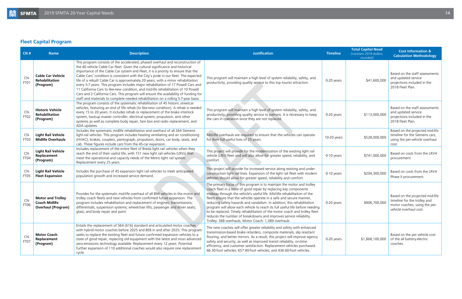### <span id="page-13-0"></span>**Fleet Capital Program**

| CN#                | <b>Name</b>                                                                   | <b>Description</b>                                                                                                                                                                                                                                                                                                                                                                                                                                                                                                                                                                                                                                                                                                                                                                            | <b>Justification</b>                                                                                                                                                                                                                                                                                                                                                                                                                                                                                                                                                                                                                                                   | <b>Timeline</b> | <b>Total Capital Need</b><br>(constant 2019 dollars,<br>rounded) | <b>Cost Information &amp;</b><br><b>Calculation Methodology</b>                                                            |
|--------------------|-------------------------------------------------------------------------------|-----------------------------------------------------------------------------------------------------------------------------------------------------------------------------------------------------------------------------------------------------------------------------------------------------------------------------------------------------------------------------------------------------------------------------------------------------------------------------------------------------------------------------------------------------------------------------------------------------------------------------------------------------------------------------------------------------------------------------------------------------------------------------------------------|------------------------------------------------------------------------------------------------------------------------------------------------------------------------------------------------------------------------------------------------------------------------------------------------------------------------------------------------------------------------------------------------------------------------------------------------------------------------------------------------------------------------------------------------------------------------------------------------------------------------------------------------------------------------|-----------------|------------------------------------------------------------------|----------------------------------------------------------------------------------------------------------------------------|
| CN-<br>FT01        | <b>Cable Car Vehicle</b><br>Rehabilitation<br>(Program)                       | This program consists of the accelerated, phased overhaul and reconstruction of<br>the 40 vehicle Cable Car fleet. Given the cultural significance and historical<br>importance of the Cable Car system and Fleet, it is a priority to ensure that the<br>Cable Cars' condition is consistent with the City's pride in our fleet. The expected<br>life of a rebuilt Cable Car is approximately 20 years, with a minor rehabilitation<br>every 5-7 years. This program includes major rehabilitation of 17 Powell Cars and<br>11 California Cars to like-new condition, and mid-life rehabilitation of 10 Powell<br>Cars and 2 California Cars. This program will ensure the availability of funding for<br>staff and materials to complete needed rehabilitation on a rolling 5-7-year basis. | This program will maintain a high level of system reliability, safety, and<br>productivity, providing quality service to this top tourist attraction.                                                                                                                                                                                                                                                                                                                                                                                                                                                                                                                  | 0-20 years      | \$41,600,000                                                     | Based on the staff assessments<br>and updated service<br>projections included in the<br>2018 Fleet Plan.                   |
| CN-<br>FT02        | <b>Historic Vehicle</b><br><b>Rehabilitation</b><br>(Program)                 | The program consists of the systematic rehabilitation of 45 historic streetcar<br>vehicles, featuring an end of life rehab (to like-new condition). A rehab is needed<br>every 15 to 20 years. It includes rehab or replacement of the brake interlock<br>system, backup master controller, electrical system, propulsion, and other<br>systems as well as complete body repair, fare box and radio replacement, and<br>ADA updates.                                                                                                                                                                                                                                                                                                                                                          | This program will maintain a high level of system reliability, safety, and<br>productivity, providing quality service to patrons. It is necessary to keep<br>the cars in operation since they are not replaced.                                                                                                                                                                                                                                                                                                                                                                                                                                                        | 0-20 years      | \$113,000,000                                                    | Based on the staff assessments<br>and updated service<br>projections included in the<br>2018 Fleet Plan.                   |
| $CN-$<br>FT03      | <b>Light Rail Vehicle</b><br><b>Midlife Overhauls</b>                         | Includes the systematic midlife rehabilitation and overhaul of all 264 Siemens<br>light-rail vehicles. This program includes heating ventilating and air conditioning<br>(HVAC), brakes, couplers, pantograph, propulsion, doors, car body, seats, and<br>cab. These figures include cars from the 45-car expansion.                                                                                                                                                                                                                                                                                                                                                                                                                                                                          | Mid-life overhauls are required to ensure that the vehicles can operate<br>for their full useful lives of 25 years.                                                                                                                                                                                                                                                                                                                                                                                                                                                                                                                                                    | 10-20 years     | \$528,000,000                                                    | Based on the projected mid-life<br>timeline for the Siemens cars,<br>using the per-vehicle overhaul<br>cost.               |
| CN-<br>FT04        | <b>Light Rail Vehicle</b><br>Replacement<br>(Program)                         | Includes replacement of the entire fleet of Breda light rail vehicles when they<br>reach the end of their useful life, with 151 new light rail vehicles (LRVs) that<br>meet the operational and capacity needs of the Metro light rail system.<br>Replacement every 25 years.                                                                                                                                                                                                                                                                                                                                                                                                                                                                                                                 | This project will provide for the modernization of the existing light rail<br>vehicle (LRV) fleet and will also allow for greater speed, reliability, and<br>comfort.                                                                                                                                                                                                                                                                                                                                                                                                                                                                                                  | 0-10 years      | \$741,000,000                                                    | Based on costs from the LRV4<br>procurement.                                                                               |
| CN-<br>FT05        | <b>Light Rail Vehicle</b><br><b>Fleet Expansion</b>                           | Includes the purchase of 45 expansion light rail vehicles to meet anticipated<br>population growth and increased service demand.                                                                                                                                                                                                                                                                                                                                                                                                                                                                                                                                                                                                                                                              | This project will provide for increased service along existing and under<br>construction light rail lines. Expansion of the light rail fleet with modern<br>vehicles should allow for greater speed, reliability and comfort.                                                                                                                                                                                                                                                                                                                                                                                                                                          | 0-10 years      | \$204,300,000                                                    | Based on costs from the LRV4<br>Phase II procurement.                                                                      |
| CN-<br><b>FT06</b> | <b>Motor and Trolley</b><br><b>Coach Midlife</b><br><b>Overhaul (Program)</b> | Provides for the systematic mid-life overhaul of all 894 vehicles in the motor and<br>trolley coach fleets and new vehicles from confirmed future expansion. The<br>program includes rehabilitation and replacement of engines; transmissions;<br>differentials; suspension systems; wheelchair lifts; passenger and driver seats;<br>glass; and body repair and paint.                                                                                                                                                                                                                                                                                                                                                                                                                       | The primary focus of this program is to maintain the motor and trolley<br>coach fleet in a state of good repair by replacing key components<br>midway through the vehicle's useful life. Mid-life rehabilitation of the<br>fleets ensure that the vehicles operate in a safe and secure manner,<br>reducing safety hazards and vandalism. In addition, this rehabilitation<br>program will allow each vehicle to reach its full useful life before needing<br>to be replaced. Timely rehabilitation of the motor coach and trolley fleet<br>reduces the number of breakdowns and improves service reliability.<br>Trolley- 368 overhauls; Motor Coach- 1,389 overhauls | 0-20 years      | \$906,700,000                                                    | Based on the projected mid-life<br>timeline for the trolley and<br>motor coaches, using the per-<br>vehicle overhaul cost. |
| CN-<br>FT07        | <b>Motor Coach</b><br>Replacement<br>(Program)                                | Entails the replacement of 564 (616) standard and articulated motor coaches<br>with hybrid motor coaches before 2025 and BEB in and after 2025. This program<br>seeks to replace the existing fleet and future confirmed expansion vehicles to a<br>state of good repair, replacing old equipment with the latest and most advanced<br>zero-emissions technology available. Replacement every 12 years. Potential<br>further expansion of 110 additional coaches would also require one replacement<br>cycle.                                                                                                                                                                                                                                                                                 | The new coaches will offer greater reliability and safety with enhanced<br>transmission-based brake retarders, composite materials, slip resistant<br>flooring, and better mirrors. As a result, this project will improve agency<br>safety and security, as well as improved transit reliability, on-time<br>efficiency, and customer satisfaction. Replacement vehicles purchased:<br>66 30-foot vehicles; 657 40-foot vehicles; and 436 60-foot vehicles.                                                                                                                                                                                                           | 0-20 years      | \$1,868,100,000                                                  | Based on the per vehicle cost<br>of the all battery-electric<br>coaches.                                                   |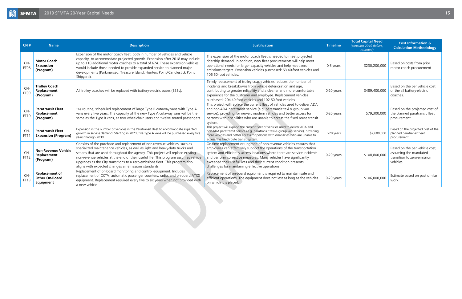| CN#                | <b>Name</b>                                                 | <b>Description</b>                                                                                                                                                                                                                                                                                                                                                                                                                                                          | <b>Justification</b>                                                                                                                                                                                                                                                                                                                                                                                                    | <b>Timeline</b> | <b>Total Capital Need</b><br>(constant 2019 dollars,<br>rounded) | <b>Cost Information &amp;</b><br><b>Calculation Methodology</b>                                     |
|--------------------|-------------------------------------------------------------|-----------------------------------------------------------------------------------------------------------------------------------------------------------------------------------------------------------------------------------------------------------------------------------------------------------------------------------------------------------------------------------------------------------------------------------------------------------------------------|-------------------------------------------------------------------------------------------------------------------------------------------------------------------------------------------------------------------------------------------------------------------------------------------------------------------------------------------------------------------------------------------------------------------------|-----------------|------------------------------------------------------------------|-----------------------------------------------------------------------------------------------------|
| CN-<br>FT08        | <b>Motor Coach</b><br><b>Expansion</b><br>(Program)         | Expansion of the motor coach fleet, both in number of vehicles and vehicle<br>capacity, to accommodate projected growth. Expansion after 2018 may include<br>up to 110 additional motor coaches to a total of 674. These expansion vehicles<br>would include those needed to provide expanded service to planned major<br>developments (Parkmerced, Treasure Island, Hunters Point/Candlestick Point<br>Shipyard).                                                          | The expansion of the motor coach fleet is needed to meet projected<br>ridership demand. In addition, new fleet procurements will help meet<br>operational needs for larger capacity vehicles and help meet zero<br>emissions targets. Expansion vehicles purchased: 53 40-foot vehicles and<br>106 60-foot vehicles.                                                                                                    | 0-5 years       | \$230,200,000                                                    | Based on costs from prior<br>motor coach procurement.                                               |
| CN-<br>FT09        | <b>Trolley Coach</b><br>Replacement<br>(Program)            | All trolley coaches will be replaced with battery-electric buses (BEBs).                                                                                                                                                                                                                                                                                                                                                                                                    | Timely replacement of trolley coach vehicles reduces the number of<br>incidents and breakdowns from vehicle deterioration and age,<br>contributing to greater reliability and a cleaner and more comfortable<br>experience for the customer and employee. Replacement vehicles<br>purchased: 204 40-foot vehicles and 102 60-foot vehicles.                                                                             | $0-20$ years    | \$489,400,000                                                    | Based on the per vehicle cost<br>of the all battery-electric<br>coaches.                            |
| CN-<br>FT10        | <b>Paratransit Fleet</b><br>Replacement<br>(Program)        | The routine, scheduled replacement of large Type B cutaway vans with Type A<br>vans every five years. The capacity of the new Type A cutaway vans will be the<br>same as the Type B vans, at two wheelchair users and twelve seated passengers.                                                                                                                                                                                                                             | This project will replace the current fleet of vehicles used to deliver ADA<br>and non-ADA paratransit service (e.g. paratransit taxi & group van<br>service), providing for newer, modern vehicles and better access for<br>persons with disabilities who are unable to access the fixed route transit<br>system.                                                                                                      | 0-20 years      | \$79,300,000                                                     | Based on the projected cost of<br>the planned paratransit fleet<br>procurement.                     |
| $CN-$<br>FT11      | <b>Paratransit Fleet</b><br><b>Expansion (Program)</b>      | Expansion in the number of vehicles in the Paratransit Fleet to accommodate expected<br>growth in service demand. Starting in 2023, five Type A vans will be purchased every five<br>years through 2039.                                                                                                                                                                                                                                                                    | This project will expand the current fleet of vehicles used to deliver ADA and<br>non-ADA paratransit service (e.g. paratransit taxi & group van service), providing<br>more vehicles and better access for persons with disabilities who are unable to<br>access the fixed route transit system.                                                                                                                       | 5-20 years      | \$2,600,000                                                      | Based on the projected cost of the<br>planned paratransit fleet<br>procurement.                     |
| $CN-$<br>FT12      | <b>Non-Revenue Vehicle</b><br>Replacement<br>(Program)      | Consists of the purchase and replacement of non-revenue vehicles, such as<br>specialized maintenance vehicles, as well as light and heavy-duty trucks and<br>sedans that are used throughout the agency. This project will replace existing<br>non-revenue vehicles at the end of their useful life. This program assumes vehicle<br>upgrades as the City transitions to a zero-emissions fleet. This program also<br>aligns with expected changes air emissions standards. | On-time replacement or upgrade of non-revenue vehicles ensures that<br>employees can effectively support the operations of the transportation<br>system and efficiently access locations where there are service incidents<br>and perform corrective measures. Many vehicles have significantly<br>exceeded their useful lives and their current condition presents<br>challenges for maintaining effective operations. | 0-20 years      | \$108,800,000                                                    | Based on the per vehicle cost,<br>assuming the mandated<br>transition to zero-emission<br>vehicles. |
| CN-<br><b>FT13</b> | <b>Replacement of</b><br><b>Other On-Board</b><br>Equipment | Replacement of on-board monitoring and control equipment. Includes<br>replacement of CCTV, automatic passenger counters, radio, and on-board ATCS<br>equipment. Replacement required every five to six years when not provided with<br>a new vehicle.                                                                                                                                                                                                                       | Replacement of on-board equipment is required to maintain safe and<br>efficient operations. The equipment does not last as long as the vehicles<br>on which it is placed.                                                                                                                                                                                                                                               | 0-20 years      | \$106,000,000                                                    | Estimate based on past similar<br>work.                                                             |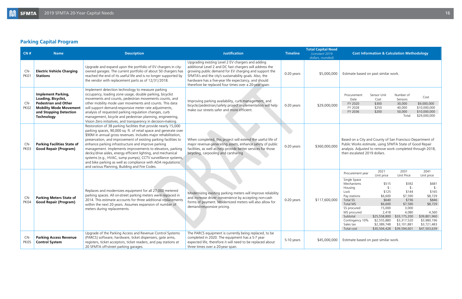### **Parking Capital Program**

| CN#         | <b>Name</b>                                                                                                                                                     | <b>Description</b>                                                                                                                                                                                                                                                                                                                                                                                                                                                                                                                                                                                                                            | <b>Justification</b>                                                                                                                                                                                                                                                                                                                              | <b>Timeline</b> | <b>Total Capital Need</b><br>(constant 2019)<br>dollars, rounded) | <b>Cost Information &amp; Calculation Methodology</b>                                                                                                                                                             |                                                                                                                                                                                      |                                                                                                                                                        |                                                                                                                                                             |
|-------------|-----------------------------------------------------------------------------------------------------------------------------------------------------------------|-----------------------------------------------------------------------------------------------------------------------------------------------------------------------------------------------------------------------------------------------------------------------------------------------------------------------------------------------------------------------------------------------------------------------------------------------------------------------------------------------------------------------------------------------------------------------------------------------------------------------------------------------|---------------------------------------------------------------------------------------------------------------------------------------------------------------------------------------------------------------------------------------------------------------------------------------------------------------------------------------------------|-----------------|-------------------------------------------------------------------|-------------------------------------------------------------------------------------------------------------------------------------------------------------------------------------------------------------------|--------------------------------------------------------------------------------------------------------------------------------------------------------------------------------------|--------------------------------------------------------------------------------------------------------------------------------------------------------|-------------------------------------------------------------------------------------------------------------------------------------------------------------|
| CN-<br>PK01 | <b>Electric Vehicle Charging</b><br><b>Stations</b>                                                                                                             | Upgrade and expand upon the portfolio of EV chargers in city-<br>owned garages. The current portfolio of about 50 chargers has<br>reached the end of its useful life and is no longer supported by<br>the vendor with replacement parts as of 12/31/2018.                                                                                                                                                                                                                                                                                                                                                                                     | Upgrading existing Level 2 EV chargers and adding<br>additional Level 2 and DC fast chargers will address the<br>growing public demand for EV charging and support the<br>SFMTA's and the city's sustainability goals. Also, the<br>hardware has a five-year life expectancy, and should<br>therefore be replaced four times over a 20-year span. | 0-20 years      | \$5,000,000                                                       | Estimate based on past similar work.                                                                                                                                                                              |                                                                                                                                                                                      |                                                                                                                                                        |                                                                                                                                                             |
| CN-<br>PK02 | <b>Implement Parking,</b><br>Loading, Bicyclist,<br><b>Pedestrian and Other</b><br><b>Mobility Mode Movement</b><br>and Stopping Detection<br><b>Technology</b> | Implement detection technology to measure parking<br>occupancy, loading zone usage, double parking, bicyclist<br>movements and counts, pedestrian movements counts, and<br>other mobility mode user movements and counts. This data<br>will support demand-responsive meter rate adjustments,<br>analysis of requested parking regulation changes, curb<br>management, bicycle and pedestrian planning, engineering,<br>Vision Zero initiatives, and transparency in decision-making.                                                                                                                                                         | Improving parking availability, curb management, and<br>bicycle/pedestrian/safety project implementation will help<br>make our streets safer and more efficient.                                                                                                                                                                                  | 0-20 years      | \$29,000,000                                                      | Procurement<br>Date<br>FY 2020<br>FY 2028<br>FY 2036                                                                                                                                                              | Sensor Unit<br>Cost<br>\$300<br>\$250<br>\$200                                                                                                                                       | Number of<br>Sensors<br>30,000<br>40,000<br>50,000<br>Total:                                                                                           | Cost<br>\$9,000,000<br>\$10,000,000<br>\$10,000,000<br>\$29,000,000                                                                                         |
| CN-<br>PK03 | <b>Parking Facilities State of</b><br><b>Good Repair (Program)</b>                                                                                              | Restoration of 38 parking facilities that provide nearly 15,000<br>parking spaces, 90,000 sq. ft. of retail space and generate over<br>\$90M in annual gross revenues. Includes major rehabilitation,<br>preservation, and improvement of existing parking facilities to<br>enhance parking infrastructure and improve parking<br>management. Implements improvements to elevators, parking<br>decks/drive aisles, energy efficient lighting, and mechanical<br>systems (e.g., HVAC, sump pumps), CCTV surveillance systems,<br>and bike parking as well as compliance with ADA regulations<br>and various Planning, Building and Fire Codes. | When completed, this project will extend the useful life of<br>major revenue-generating assets, enhance safety of public<br>facilities, as well as help provide better services for those<br>bicycling, carpooling and carsharing                                                                                                                 | 0-20 years      | \$360,000,000                                                     | Based on a City and County of San Francisco Department of<br>Public Works estimate, using SFMTA State of Good Repair<br>analysis. Adjusted to remove work completed through 2018,<br>then escalated 2019 dollars. |                                                                                                                                                                                      |                                                                                                                                                        |                                                                                                                                                             |
| CN-<br>PK04 | <b>Parking Meters State of</b><br><b>Good Repair (Program)</b>                                                                                                  | Replaces and modernizes equipment for all 27,000 metered<br>parking spaces. All on-street parking meters were replaced in<br>2014. This estimate accounts for three additional replacements<br>within the next 20 years. Assumes expansion of number of<br>meters during replacements.                                                                                                                                                                                                                                                                                                                                                        | Modernizing existing parking meters will improve reliability<br>and increase driver convenience by accepting non-cash<br>forms of payment. Modernized meters will also allow for<br>demand-responsive pricing.                                                                                                                                    | 0-20 years      | \$117,600,000                                                     | Procurement year<br>Single Space<br>Mechanisms<br>Housing<br>Lock<br>Pay stations<br>Total SS<br><b>Total MS</b><br>SS procured<br>MS procured<br>Subtotal<br>Contingency 10%<br>Sales tax<br>Total cost          | 2021<br>Unit price<br>\$515<br>$\frac{1}{2}$ -<br>\$125<br>\$6,600<br>\$640<br>\$6,600<br>15,000<br>2,418<br>\$25,558,800<br>\$2,555,880<br>\$2,389,748<br>\$30,504,428 \$39,594,601 | 2031<br>Unit Price<br>\$592<br>$\frac{1}{2}$ -<br>\$144<br>\$7,590<br>\$736<br>\$7,590<br>3,000<br>4,080<br>\$33,175,200<br>\$3,317,520<br>\$3,101,881 | 2041<br>Unit price<br>\$681<br>$\frac{1}{2}$<br>\$165<br>\$8,729<br>\$846<br>\$8,729<br>4,560<br>\$39,801,960<br>\$3,980,196<br>\$3,721,483<br>\$47,503,639 |
| CN-<br>PK05 | <b>Parking Access Revenue</b><br><b>Control System</b>                                                                                                          | Upgrade of the Parking Access and Revenue Control Systems<br>(PARCS) software, hardware, ticket dispensers, gate arms,<br>registers, ticket acceptors, ticket readers, and pay stations at<br>20 SFMTA off-street parking garages.                                                                                                                                                                                                                                                                                                                                                                                                            | The PARCS equipment is currently being replaced, to be<br>completed in 2020. The equipment has a 5-7 year<br>expected life, therefore it will need to be replaced about<br>three times over a 20-year span.                                                                                                                                       | 5-10 years      | \$45,000,000                                                      | Estimate based on past similar work.                                                                                                                                                                              |                                                                                                                                                                                      |                                                                                                                                                        |                                                                                                                                                             |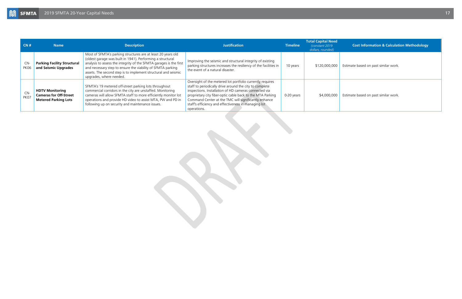#### **Cost Information & Calculation Methodology**

Estimate based on past similar work.

Estimate based on past similar work.

<span id="page-16-0"></span>

| CN#                  | <b>Name</b>                                                                            | <b>Description</b>                                                                                                                                                                                                                                                                                                                                           | <b>Justification</b>                                                                                                                                                                                                                                                                                                                                                       | <b>Timeline</b> | <b>Total Capital Need</b><br>(constant 2019)<br>dollars, rounded) |
|----------------------|----------------------------------------------------------------------------------------|--------------------------------------------------------------------------------------------------------------------------------------------------------------------------------------------------------------------------------------------------------------------------------------------------------------------------------------------------------------|----------------------------------------------------------------------------------------------------------------------------------------------------------------------------------------------------------------------------------------------------------------------------------------------------------------------------------------------------------------------------|-----------------|-------------------------------------------------------------------|
| CN-<br><b>PK06</b>   | <b>Parking Facility Structural</b><br>and Seismic Upgrades                             | Most of SFMTA's parking structures are at least 20 years old<br>(oldest garage was built in 1941). Performing a structural<br>analysis to assess the integrity of the SFMTA garages is the first<br>and necessary step to ensure the viability of SFMTA parking<br>assets. The second step is to implement structural and seismic<br>upgrades, where needed. | Improving the seismic and structural integrity of existing<br>parking structures increases the resiliency of the facilities in<br>the event of a natural disaster.                                                                                                                                                                                                         | 10 years        | \$120,000,000                                                     |
| $CN-$<br><b>PK07</b> | <b>HDTV Monitoring</b><br><b>Cameras for Off-Street</b><br><b>Metered Parking Lots</b> | SFMTA's 19 metered off-street parking lots throughout<br>commercial corridors in the city are unstaffed. Monitoring<br>cameras will allow SFMTA staff to more efficiently monitor lot<br>operations and provide HD video to assist MTA, PW and PD in<br>following up on security and maintenance issues.                                                     | Oversight of the metered lot portfolio currently requires<br>staff to periodically drive around the city to complete<br>inspections. Installation of HD cameras connected via<br>proprietary city fiber-optic cable back to the MTA Parking<br>Command Center at the TMC will significantly enhance<br>staff's efficiency and effectiveness in managing lot<br>operations. | 0-20 years      | \$4,000,000                                                       |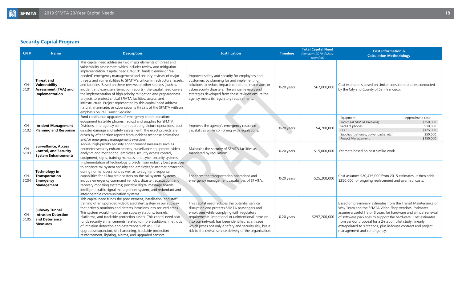### **Security Capital Program**

| CN#                     | <b>Name</b>                                                                               | <b>Description</b>                                                                                                                                                                                                                                                                                                                                                                                                                                                                                                                                                                                                                                                                                                                                                                               | <b>Justification</b>                                                                                                                                                                                                                                                                                                                                                            | <b>Timeline</b> | <b>Total Capital Need</b><br>(constant 2019 dollars,<br>rounded) | <b>Cost Information &amp;</b><br><b>Calculation Methodology</b>                                                                                                                                                                                                                                                                                                                                                          |
|-------------------------|-------------------------------------------------------------------------------------------|--------------------------------------------------------------------------------------------------------------------------------------------------------------------------------------------------------------------------------------------------------------------------------------------------------------------------------------------------------------------------------------------------------------------------------------------------------------------------------------------------------------------------------------------------------------------------------------------------------------------------------------------------------------------------------------------------------------------------------------------------------------------------------------------------|---------------------------------------------------------------------------------------------------------------------------------------------------------------------------------------------------------------------------------------------------------------------------------------------------------------------------------------------------------------------------------|-----------------|------------------------------------------------------------------|--------------------------------------------------------------------------------------------------------------------------------------------------------------------------------------------------------------------------------------------------------------------------------------------------------------------------------------------------------------------------------------------------------------------------|
| CN-<br>SC <sub>01</sub> | <b>Threat and</b><br>Vulnerability<br>Assessment (TVA) and<br>Implementation              | This capital need addresses two major elements of threat and<br>vulnerability assessment which includes review and mitigation<br>implementation. Capital need CN-SC01 funds biennial or "as-<br>needed" emergency management and security reviews of major<br>threats and vulnerabilities to SFMTA's critical infrastructure, assets,<br>and facilities. Based on these reviews or other sources (such as<br>incident and exercise after-action reports), the capital need covers<br>the implementation of high-priority mitigation and preparedness<br>projects to protect critical SFMTA facilities, assets, and<br>infrastructure. Project represented by this capital need address<br>natural, manmade, or cyber-security threats of the SFMTA with an<br>emphasis on Rail Transit Security. | Improves safety and security for employees and<br>customers by planning for and implementing<br>solutions to reduce impacts of natural, manmade, or<br>cybersecurity disasters. The annual reviews and<br>strategies developed from these reviews ensure the<br>agency meets its regulatory requirements.                                                                       | 0-20 years      | \$67,000,000                                                     | Cost estimate is based on similar consultant studies conducted<br>by the City and County of San Francisco.                                                                                                                                                                                                                                                                                                               |
| CN-<br>SC <sub>02</sub> | <b>Incident Management</b><br><b>Planning and Response</b>                                | Fund continuous upgrades of emergency communications<br>equipment (satellite phones, radios) and supplies for SFMTA<br>Divisions; interagency common operating picture operations; post-<br>disaster damage and safety assessment. The exact projects are<br>driven by after-action reports from incident response activations<br>and/or emergency management exercises.                                                                                                                                                                                                                                                                                                                                                                                                                         | Improves the agency's emergency response<br>capabilities while-complying with regulations.                                                                                                                                                                                                                                                                                      | 0-20 years      | \$4,700,000                                                      | Equipment:<br>Approximate cost:<br>Radios (all SFMTA Divisions)<br>\$250,000<br>Satellite phones<br>\$10,000<br>COP<br>\$125,000<br>\$50,000<br>Supplies (batteries; power packs, etc.)<br>Project Management<br>\$150,000                                                                                                                                                                                               |
| CN-<br>SC <sub>03</sub> | <b>Surveillance, Access</b><br><b>Control, and Security</b><br><b>System Enhancements</b> | Annual high-priority security enhancement measures such as<br>perimeter security enhancements, surveillance equipment, video<br>analytics and monitoring, employee security access control,<br>equipment, signs, training manuals, and cyber security systems.                                                                                                                                                                                                                                                                                                                                                                                                                                                                                                                                   | Maintains the security of SFMTA facilities as<br>mandated by regulations.                                                                                                                                                                                                                                                                                                       | 0-20 years      | \$15,000,000                                                     | Estimate based on past similar work.                                                                                                                                                                                                                                                                                                                                                                                     |
| CN-<br>SC <sub>04</sub> | <b>Technology in</b><br>Transportation<br>Emergency<br><b>Management</b>                  | Implementation of technology projects from industry best practices<br>to enhance rail system security and employee/customer protection<br>during normal operations as well as to augment response<br>capabilities for all-hazard disasters on the rail system. Systems<br>include emergency command vehicles; disaster, evacuation, and<br>recovery modeling systems; portable digital message boards;<br>intelligent traffic signal management system, and redundant and<br>interoperable communication systems.                                                                                                                                                                                                                                                                                | Enhances the transportation operations and<br>emergency management capabilities of SFMTA.                                                                                                                                                                                                                                                                                       | 0-20 years      | \$25,200,000                                                     | Cost assumes \$20,475,000 from 2015 estimates. It then adds<br>\$250,000 for ongoing replacement and overhaul costs.                                                                                                                                                                                                                                                                                                     |
| CN-<br>SC <sub>05</sub> | <b>Subway Tunnel</b><br><b>Intrusion Detection</b><br>and Deterrence<br><b>Measures</b>   | This capital need funds the procurement, installation, and staff<br>training of an upgraded video-based alert system in our subway<br>that actively monitors and detects intrusions into secured areas.<br>This system would monitor our subway stations, tunnels,<br>platforms, and trackside protection assets. This capital need also<br>funds security enhancements related to more traditional methods<br>of intrusion detection and deterrence such as CCTV<br>upgrades/expansion, site hardening, trackside protection<br>reinforcement, lighting, alarms, and upgraded sensors.                                                                                                                                                                                                          | This capital need reduces the potential service<br>disruption and protects SFMTA passengers and<br>employees while complying with regulatory<br>requirements. Intentional or unintentional intrusion<br>into our network has been identified as an issue<br>which poses not only a safety and security risk, but a<br>risk to the overall service delivery of the organization. | 0-20 years      | \$297,200,000                                                    | Based on preliminary estimates from the Transit Maintenance of<br>Way Team and the SFMTA Video Shop vendors. Estimates<br>assume a useful life of 5 years for hardware and annual renewal<br>of software packages to support the hardware. Cost estimates<br>from vendor proposal for a 2-station pilot study, linearly<br>extrapolated to 9 stations, plus in-house contract and project<br>management and contingency. |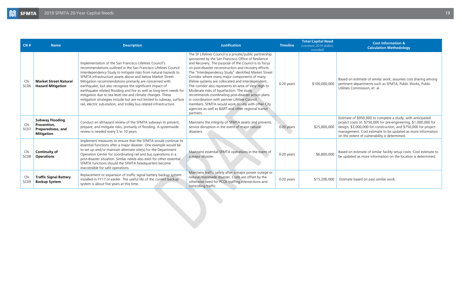#### **Cost Information & Calculation Methodology**

<span id="page-18-0"></span>

| CN#                       | <b>Name</b>                                                                     | <b>Description</b>                                                                                                                                                                                                                                                                                                                                                                                                                                                                                                                                                                                                                                                      | <b>Justification</b>                                                                                                                                                                                                                                                                                                                                                                                                                                                                                                                                                                                                                                                                                                                 | <b>Timeline</b> | <b>Total Capital Need</b><br>(constant 2019 dollars,<br>rounded) | <b>Cost Information &amp;</b><br><b>Calculation Methodology</b>                                                                                                                                                                                                                                                    |
|---------------------------|---------------------------------------------------------------------------------|-------------------------------------------------------------------------------------------------------------------------------------------------------------------------------------------------------------------------------------------------------------------------------------------------------------------------------------------------------------------------------------------------------------------------------------------------------------------------------------------------------------------------------------------------------------------------------------------------------------------------------------------------------------------------|--------------------------------------------------------------------------------------------------------------------------------------------------------------------------------------------------------------------------------------------------------------------------------------------------------------------------------------------------------------------------------------------------------------------------------------------------------------------------------------------------------------------------------------------------------------------------------------------------------------------------------------------------------------------------------------------------------------------------------------|-----------------|------------------------------------------------------------------|--------------------------------------------------------------------------------------------------------------------------------------------------------------------------------------------------------------------------------------------------------------------------------------------------------------------|
| $CN-$<br>SC <sub>06</sub> | <b>Market Street Natural</b><br><b>Hazard Mitigation</b>                        | Implementation of the San Francisco Lifelines Council's<br>recommendations outlined in the San Francisco Lifelines Council<br>Interdependency Study to mitigate risks from natural hazards to<br>SFMTA infrastructure assets above and below Market Street.<br>Mitigation recommendations primarily are concerned with<br>earthquake, but also recognize the significant impact of<br>earthquake related flooding and fire as well as long-term needs for<br>mitigation due to sea level rise and climate changes. These<br>mitigation strategies include but are not limited to subway, surface<br>rail, electric sub-station, and trolley bus related infrastructure. | The SF Lifelines Council is a private/public partnership<br>sponsored by the San Francisco Office of Resilience<br>and Recovery. The purpose of the Council is to focus<br>on post-disaster reconstruction and recovery efforts.<br>The "Interdependency Study" identified Market Street<br>Corridor where many major components of many<br>lifeline systems are collocated and interdependent.<br>The corridor also represents an area of Very High to<br>Moderate risks of liquefaction. The study<br>recommends coordinating post-disaster action plans<br>in coordination with partner Lifeline Council<br>members. SFMTA would work closely with other City<br>agencies as well as BART and other regional transit<br>partners. | 0-20 years      | \$100,000,000                                                    | Based on estimate of similar work; assumes cost sharing among<br>pertinent departments such as SFMTA, Public Works, Public<br>Utilities Commission, et. al.                                                                                                                                                        |
| $CN-$<br>SC <sub>07</sub> | <b>Subway Flooding</b><br>Prevention,<br>Preparedness, and<br><b>Mitigation</b> | Conduct an all-hazard review of the SFMTA subways to prevent,<br>prepare, and mitigate risks, primarily of flooding. A systemwide<br>review is needed every 5 to 10 years.                                                                                                                                                                                                                                                                                                                                                                                                                                                                                              | Maintains the integrity of SFMTA assets and prevents<br>service disruption in the event of major natural<br>disasters.                                                                                                                                                                                                                                                                                                                                                                                                                                                                                                                                                                                                               | 0-20 years      | \$25,800,000                                                     | Estimate of \$950,000 to complete a study, with anticipated<br>project costs of: \$750,000 for pre-engineering, \$1,000,000 for<br>design, \$3,000,000 for construction, and \$750,000 for project<br>management. Cost estimate to be updated as more information<br>on the extent of vulnerability is determined. |
| CN-<br>SC <sub>08</sub>   | <b>Continuity of</b><br><b>Operations</b>                                       | Implement measures to ensure that the SFMTA would continue its<br>essential functions after a major disaster. One example would be<br>to set up and/or maintain alternate site(s) for the Department<br>Operation Center for coordinating rail and bus operations in a<br>post-disaster situation. Similar needs also exist for other essential<br>SFMTA functions should the SFMTA headquarters become<br>inaccessible for safe operations.                                                                                                                                                                                                                            | Maintains essential SFMTA operations in the event of<br>a major disaster.                                                                                                                                                                                                                                                                                                                                                                                                                                                                                                                                                                                                                                                            | 0-20 years      | \$6,800,000                                                      | Based on estimate of similar facility setup costs. Cost estimate to<br>be updated as more information on the location is determined.                                                                                                                                                                               |
| CN-<br>SC <sub>09</sub>   | <b>Traffic Signal Battery</b><br><b>Backup System</b>                           | Replacement or expansion of traffic signal battery backup system<br>installed in FY17 or earlier. The useful life of the current backup<br>system is about five years at this time.                                                                                                                                                                                                                                                                                                                                                                                                                                                                                     | Maintains traffic safety after a major power outage or<br>natural/manmade disaster. Costs are offset by the<br>otherwise need for PCOs staffing intersections and<br>controlling traffic.                                                                                                                                                                                                                                                                                                                                                                                                                                                                                                                                            | 0-20 years      | \$15,200,000                                                     | Estimate based on past similar work.                                                                                                                                                                                                                                                                               |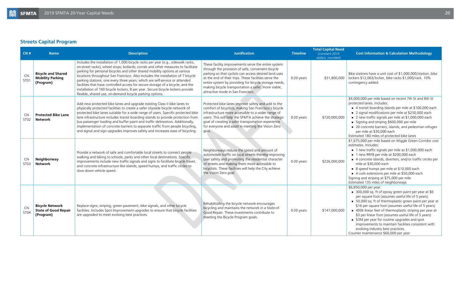### **Streets Capital Program**

| CN#                       | <b>Name</b>                                                        | <b>Description</b>                                                                                                                                                                                                                                                                                                                                                                                                                                                                                                                                                                                                                                      | <b>Justification</b>                                                                                                                                                                                                                                                                                                                                                            | <b>Timeline</b> | <b>Total Capital Need</b><br>(constant 2019)<br>dollars, rounded) | <b>Cost Information &amp; Calculation Methodology</b>                                                                                                                                                                                                                                                                                                                                                                                                                                                                                                                     |
|---------------------------|--------------------------------------------------------------------|---------------------------------------------------------------------------------------------------------------------------------------------------------------------------------------------------------------------------------------------------------------------------------------------------------------------------------------------------------------------------------------------------------------------------------------------------------------------------------------------------------------------------------------------------------------------------------------------------------------------------------------------------------|---------------------------------------------------------------------------------------------------------------------------------------------------------------------------------------------------------------------------------------------------------------------------------------------------------------------------------------------------------------------------------|-----------------|-------------------------------------------------------------------|---------------------------------------------------------------------------------------------------------------------------------------------------------------------------------------------------------------------------------------------------------------------------------------------------------------------------------------------------------------------------------------------------------------------------------------------------------------------------------------------------------------------------------------------------------------------------|
| CN-<br>ST <sub>01</sub>   | <b>Bicycle and Shared</b><br><b>Mobility Parking</b><br>(Program)  | Includes the installation of 1,000 bicycle racks per year (e.g., sidewalk racks,<br>on-street racks); wheel stops; bollards; corrals and other measures to facilitate<br>parking for personal bicycles and other shared mobility options at various<br>locations throughout San Francisco. Also includes the installation of 7 bicycle<br>parking stations, one every three years, which are self-service or attended<br>facilities that have controlled access for secure storage of a bicycle; and the<br>installation of 160 bicycle lockers, 8 per year. Secure bicycle lockers provide<br>flexible, shared use, on-demand bicycle parking options. | These facility improvements serve the entire system<br>through the provision of safe, convenient bicycle<br>parking so that cyclists can access desired land uses<br>at the end of their trips. These facilities serve the<br>entire system by providing for bicycle storage needs,<br>making bicycle transportation a safer, more viable,<br>attractive mode in San Francisco. | 0-20 years      | \$31,800,000                                                      | Bike stations have a unit cost of \$1,000,000/station, bike<br>lockers \$12,063/locker, bike racks \$1,000/rack. 10%<br>contingency added.                                                                                                                                                                                                                                                                                                                                                                                                                                |
| $CN-$<br>ST <sub>02</sub> | <b>Protected Bike Lane</b><br><b>Network</b>                       | Add new protected bike lanes and upgrade existing Class II bike lanes to<br>physically protected facilities to create a safer citywide bicycle network of<br>protected bike lanes suitable for a wide range of users. Specific protected bike<br>lane infrastructure includes transit boarding islands to provide protection from<br>bus passenger loading and buffer paint and traffic delineators. Additionally,<br>implementation of concrete barriers to separate traffic from people bicycling,<br>and signal and sign upgrades improves safety and increases ease of bicycling.                                                                   | Protected bike lanes improve safety and add to the<br>comfort of bicyclists, making San Francisco's bicycle<br>infrastructure more accessible to a wider range of<br>users. This will help the SFMTA achieve the strategic<br>goal of creating a safer transportation experience<br>for everyone and assist in meeting the Vision Zero<br>goal.                                 | 0-20 years      | \$720,000,000                                                     | \$4,000,000 per mile based on recent 7th St and 8th St<br>protected lanes. Includes:<br>• 4 transit boarding islands per mile at \$100,000 each<br>• 2 signal modifications per mile at \$250,000 each<br>• 2 new traffic signals per mile at \$1,000,000 each<br>• Signing and striping \$600,000 per mile<br>• 20 concrete barriers, islands, and pedestrian refuges<br>per mile at \$30,000 each<br>Estimated 180 miles of protected bike lanes                                                                                                                        |
| $CN-$<br>ST <sub>03</sub> | Neighborway<br><b>Network</b>                                      | Provide a network of safe and comfortable local streets to connect people<br>walking and biking to schools, parks and other local destinations. Specific<br>improvements include new traffic signals and signs to facilitate bicycle travel,<br>and concrete infrastructure like islands, speed humps, and traffic circles to<br>slow down vehicle speed.                                                                                                                                                                                                                                                                                               | Neighborways reduce the speed and amount of<br>automobile traffic on local streets thereby improving<br>user safety and promoting the residential character<br>of streets and making them more accessible to<br>bicyclists. These facilities will help the City achieve<br>the Vision Zero goal.                                                                                | $0-20$ years    | \$226,000,000                                                     | \$1,675,000 per mile based on Wiggle Green Corridor cost<br>estimates. Includes:<br>• 1 new traffic signals per mile as \$1,000,000 each<br>• 1 new RRFB per mile at \$200,000 each<br>• 4 concrete islands, diverters, and/or traffic circles per<br>mile at \$30,000 each<br>• 8 speed humps per mile at \$10,000 each<br>• 4 curb extensions per mile at \$50,000 each<br>Signing and striping at \$75,000 per mile<br>Estimated 135 miles of neighborways                                                                                                             |
| CN-<br>ST04               | <b>Bicycle Network</b><br><b>State of Good Repair</b><br>(Program) | Replace signs, striping, green pavement, bike signals, and other bicycle<br>facilities. Includes Spot Improvement upgrades to ensure that bicycle facilities<br>are upgraded to meet evolving best practices.                                                                                                                                                                                                                                                                                                                                                                                                                                           | Rehabilitating the bicycle network encourages<br>bicycling and maintains the network in a State-of-<br>Good-Repair. These investments contribute to<br>meeting the Bicycle Program goals.                                                                                                                                                                                       | 0-20 years      | \$147,000,000                                                     | \$6,850,000 per year:<br>$\bullet$ 300,000 sq. ft of epoxy green paint per year at \$6<br>per square foot (assumes useful life of 5 years)<br>• 50,000 sq. ft of thermoplastic green paint per year at<br>\$16 per square foot (assumes useful life of 5 years)<br>• 400k linear feet of thermoplastic striping per year at<br>\$3 per linear foot (assumes useful life of 5 years)<br>• \$3M per year for routine upgrades and spot<br>improvements to maintain facilities consistent with<br>evolving industry best practices.<br>Counter maintenance \$60,000 per year |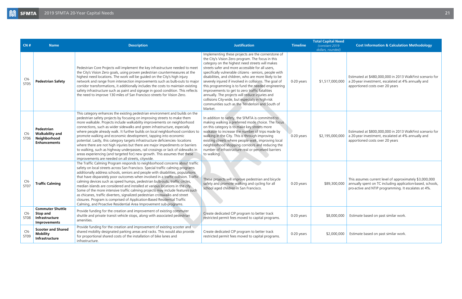<span id="page-20-0"></span>

| CN#                     | <b>Name</b>                                                                  | <b>Description</b>                                                                                                                                                                                                                                                                                                                                                                                                                                                                                                                                                                                                                                                                                                                                                                                                                                              | <b>Justification</b>                                                                                                                                                                                                                                                                                                                                                                                                                                                                                                                                                                                                                                                        | <b>Timeline</b> | <b>Total Capital Need</b><br>(constant 2019)<br>dollars, rounded) | <b>Cost Information &amp; Calculation Methodology</b>                                                                                                                         |
|-------------------------|------------------------------------------------------------------------------|-----------------------------------------------------------------------------------------------------------------------------------------------------------------------------------------------------------------------------------------------------------------------------------------------------------------------------------------------------------------------------------------------------------------------------------------------------------------------------------------------------------------------------------------------------------------------------------------------------------------------------------------------------------------------------------------------------------------------------------------------------------------------------------------------------------------------------------------------------------------|-----------------------------------------------------------------------------------------------------------------------------------------------------------------------------------------------------------------------------------------------------------------------------------------------------------------------------------------------------------------------------------------------------------------------------------------------------------------------------------------------------------------------------------------------------------------------------------------------------------------------------------------------------------------------------|-----------------|-------------------------------------------------------------------|-------------------------------------------------------------------------------------------------------------------------------------------------------------------------------|
| CN-<br><b>ST05</b>      | <b>Pedestrian Safety</b>                                                     | Pedestrian Core Projects will implement the key infrastructure needed to meet<br>the City's Vision Zero goals, using proven pedestrian countermeasures at the<br>highest need locations. The work will be guided on the City's high injury<br>network and range from intersection improvements such as bulb-outs to major<br>corridor transformations, it additionally includes the costs to maintain existing<br>safety infrastructure such as paint and signage in good condition. This reflects<br>the need to improve 130 miles of San Francisco streets for Vision Zero.                                                                                                                                                                                                                                                                                   | Implementing these projects are the cornerstone of<br>the City's Vision Zero program. The focus in this<br>category on the highest need streets will makes<br>streets safer and more accessible for all users,<br>specifically vulnerable citizens - seniors, people with<br>disabilities, and children, who are more likely to be<br>severely injured if involved in collisions. The goal of<br>this programming is to fund the needed engineering<br>improvements to get to zero traffic fatalities<br>annually. The projects will reduce injuries and<br>collisions City-wide, but especially in high-risk<br>communities such as the Tenderloin and South of<br>Market. | 0-20 years      | \$1,517,000,000                                                   | Estimated at \$480,000,000 in 2013 WalkFirst scenario for<br>a 20-year investment, escalated at 4% annually and<br>apportioned costs over 20 years                            |
| CN-<br>ST <sub>06</sub> | Pedestrian<br><b>Walkability and</b><br>Neighborhood<br><b>Enhancements</b>  | This category enhances the existing pedestrian environment and builds on the<br>pedestrian safety projects by focusing on improving streets to make them<br>more walkable. Projects include walkability improvements on neighborhood<br>connections, such as wider sidewalks and green infrastructure, especially<br>where people already walk. It further builds on local neighborhood corridors to<br>promote walking and economic development, tapping into economic<br>potential. Lastly, this category targets infrastructure deficiencies-locations<br>where there are not high injuries but there are major impediments or barriers<br>to walking, such as highway underpasses, rail crossings or lack of sidewalks in<br>areas experiencing (and targeted for) new growth. This assumes that these<br>improvements are needed on all streets, citywide. | In addition to safety, the SFMTA is committed to<br>making walking a preferred mode choice. The focus<br>on this category is to make key streets more<br>walkable to increase the number of trips made by<br>walking in the City. This is through improving<br>existing streets where people walk, improving local<br>neighborhood shopping corridors and reducing the<br>number of infrastructure real or perceived barriers<br>to walking.                                                                                                                                                                                                                                | 0-20 years      | \$2,195,000,000                                                   | Estimated at \$800,000,000 in 2013 WalkFirst scenario for<br>a 20-year investment, escalated at 4% annually and<br>apportioned costs over 20 years                            |
| CN-<br><b>ST07</b>      | <b>Traffic Calming</b>                                                       | The Traffic Calming Program responds to neighborhood concerns about traffic<br>safety on local streets across San Francisco. Special traffic calming programs<br>additionally address schools, seniors and people with disabilities, populations<br>that have disparately poor outcomes when involved in a traffic collision. Traffic<br>calming devices such as speed humps, pedestrian bulb-outs, traffic circles,<br>median islands are considered and installed at various locations in the city.<br>Some of the more intensive traffic calming projects may include features such<br>as chicanes, traffic diverters, signalized pedestrian crosswalks and street<br>closures. Program is comprised of Application-Based Residential Traffic<br>Calming, and Proactive Residential Area Improvement sub-programs.                                           | These projects will improve pedestrian and bicycle<br>safety and promote walking and cycling for all<br>school aged children in San Francisco.                                                                                                                                                                                                                                                                                                                                                                                                                                                                                                                              | 0-20 years      | \$89,300,000                                                      | This assumes current level of approximately \$3,000,000<br>annually spent on TC including application-based, schools,<br>pro-active and NTIP programming. It escalates at 4%. |
| CN-<br>ST08             | <b>Commuter Shuttle</b><br><b>Stop and</b><br>Infrastructure<br>Improvements | Provide funding for the creation and improvement of existing commuter<br>shuttle and private transit vehicle stops, along with associated pedestrian<br>amenities.                                                                                                                                                                                                                                                                                                                                                                                                                                                                                                                                                                                                                                                                                              | Create dedicated CIP program to better track<br>restricted permit fees moved to capital programs.                                                                                                                                                                                                                                                                                                                                                                                                                                                                                                                                                                           | 0-20 years      | \$8,000,000                                                       | Estimate based on past similar work.                                                                                                                                          |
| CN-<br>ST <sub>09</sub> | <b>Scooter and Shared</b><br><b>Mobility</b><br>Infrastructure               | Provide funding for the creation and improvement of existing scooter and<br>shared mobility designated parking areas and racks. This would also provide<br>for proportional shared costs of the installation of bike lanes and<br>infrastructure.                                                                                                                                                                                                                                                                                                                                                                                                                                                                                                                                                                                                               | Create dedicated CIP program to better track<br>restricted permit fees moved to capital programs.                                                                                                                                                                                                                                                                                                                                                                                                                                                                                                                                                                           | 0-20 years      | \$2,000,000                                                       | Estimate based on past similar work.                                                                                                                                          |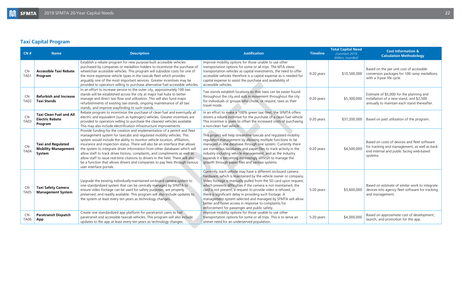### **Taxi Capital Program**

<span id="page-21-0"></span>

| CN#                  | <b>Name</b>                                                         | <b>Description</b>                                                                                                                                                                                                                                                                                                                                                                                                                                                                                                                                                                                                                                                          | <b>Justification</b>                                                                                                                                                                                                                                                                                                                                                                                                                                                                                                                                                       | <b>Timeline</b> | <b>Total Capital Need</b><br>(constant 2019)<br>dollars, rounded) | <b>Cost Information &amp;</b><br><b>Calculation Methodology</b>                                                                                       |
|----------------------|---------------------------------------------------------------------|-----------------------------------------------------------------------------------------------------------------------------------------------------------------------------------------------------------------------------------------------------------------------------------------------------------------------------------------------------------------------------------------------------------------------------------------------------------------------------------------------------------------------------------------------------------------------------------------------------------------------------------------------------------------------------|----------------------------------------------------------------------------------------------------------------------------------------------------------------------------------------------------------------------------------------------------------------------------------------------------------------------------------------------------------------------------------------------------------------------------------------------------------------------------------------------------------------------------------------------------------------------------|-----------------|-------------------------------------------------------------------|-------------------------------------------------------------------------------------------------------------------------------------------------------|
| $CN-$<br><b>TA01</b> | <b>Accessible Taxi Rebate</b><br>Program                            | Establish a rebate program for new purpose-built accessible vehicles<br>purchased by companies or medallion holders to incentivize the purchase of<br>wheelchair accessible vehicles. This program will subsidize costs for one of<br>the more expensive vehicle types in the taxicab fleet which provides<br>arguably one of the most important services. Greater incentives may be<br>provided to operators willing to purchase alternative fuel accessible vehicles.                                                                                                                                                                                                     | Improve mobility options for those unable to use other<br>transportation options for some or all trips. The MTA views<br>transportation vehicles as capital investments, the need to offer<br>accessible vehicles therefore is a capital expense as is needed for<br>capital expense to assist the purchase and availability of<br>accessible vehicles.                                                                                                                                                                                                                    | 0-20 years      | \$10,500,000                                                      | Based on the per unit cost of accessible<br>conversion packages for 100 ramp medallions<br>with a 3-year life cycle.                                  |
| $CN-$<br><b>TA02</b> | <b>Refurbish and Increase</b><br><b>Taxi Stands</b>                 | In an effort to increase service to the outer city, approximately 100 taxi<br>stands will be established across the city at major hail hubs to better<br>manage and direct taxi flow and utilization. This will also fund major<br>refurbishments of existing taxi stands, ongoing maintenance of all taxi<br>stands, and improve wayfinding to such stands.                                                                                                                                                                                                                                                                                                                | Taxi stands establish locations so that taxis can be easier found<br>throughout the city and aids in movement throughout the city<br>for individuals or groups who chose, or require, taxis as their<br>travel mode.                                                                                                                                                                                                                                                                                                                                                       | 0-20 years      | \$5,300,000                                                       | Estimate of \$5,000 for the planning and<br>installation of a new stand, and \$2,500<br>annually to maintain each stand thereafter.                   |
| CN-<br><b>TA03</b>   | <b>Taxi Clean Fuel and All</b><br><b>Electric Rebate</b><br>Program | Rebate program to incentivize the purchase of clean fuel and eventually all<br>electric and equivalent (such as hydrogen) vehicles. Greater incentives are<br>provided to operators willing to purchase the cleanest vehicles available.<br>This may also include electrification infrastructure improvements.                                                                                                                                                                                                                                                                                                                                                              | In an effort to make a 100% green taxi fleet; the SFMTA offers<br>drivers a rebate incentive for the purchase of a clean fuel vehicle.<br>This incentive is given to offset the increased costs of purchasing<br>a non-clean fuel vehicle.                                                                                                                                                                                                                                                                                                                                 | 0-20 years      |                                                                   | \$37,200,000   Based on past utilization of the program.                                                                                              |
| CN-<br><b>TA04</b>   | <b>Taxi and Regulated</b><br><b>Mobility Management</b><br>System   | Provide funding for the creation and implementation of a permit and fleet<br>management system for taxicabs and regulated mobility vehicles. This<br>system would include the ability to monitor vehicle location, affiliation,<br>insurance and inspection status. There will also be an interface that allows<br>the system to integrate driver information from other databases which will<br>allow staff to track driver history, complaints, and compliments as well as<br>allow staff to issue real-time citations to drivers in the field. There will also<br>be a function that allows drivers and companies to pay fees through various<br>user interface portals. | This project will help streamline taxicab and regulated mobility<br>regulation management by allowing multiple functions to be<br>managed in one database through one system. Currently there<br>are numerous databases and paper files to track activity in the<br>industry including vehicle management, and as the industry<br>expands it is becoming increasingly difficult to manage the<br>growth through paper files and various systems.                                                                                                                           | 0-20 years      | \$4,500,000                                                       | Based on costs of devices and fleet software<br>for tracking and management, as well as back-<br>end internal and public facing web-based<br>systems. |
| CN-<br><b>TA05</b>   | <b>Taxi Safety Camera</b><br><b>Management System</b>               | Upgrade the existing individually-maintained on-board camera system to<br>one standardized system that can be centrally managed by SFMTA to<br>ensure video footage can be used for safety purposes, are properly<br>preserved, and readily available. This program will also include updates to<br>the system at least every ten years as technology changes.                                                                                                                                                                                                                                                                                                              | Currently, each vehicle may have a different on-board camera<br>hardware, which is maintained by the vehicle owner or company.<br>Video footage is manually pulled from the SD card upon request,<br>which presents difficulties if the camera is not maintained, the<br>card is not present, a request to provide video is refused, or<br>there is significant delay in providing such footage. A<br>management system selected and managed by SFMTA will allow<br>better and faster access in response to complaints for<br>enforcement for passenger and public safety. | 5-20 years      | \$3,600,000                                                       | Based on estimate of similar work to integrate<br>devices into agency fleet software for tracking<br>and management.                                  |
| CN-<br><b>TA06</b>   | <b>Paratransit Dispatch</b><br>App                                  | Create one standardized app platform for paratransit users to hail<br>paratransit and accessible taxicab vehicles. This program will also include<br>updates to the app at least every ten years as technology changes.                                                                                                                                                                                                                                                                                                                                                                                                                                                     | Improve mobility options for those unable to use other<br>transportation options for some or all trips. This is to serve an<br>unmet need for an underserved population.                                                                                                                                                                                                                                                                                                                                                                                                   | 5-20 years      | \$4,000,000                                                       | Based on approximate cost of development,<br>launch, and promotion for the app.                                                                       |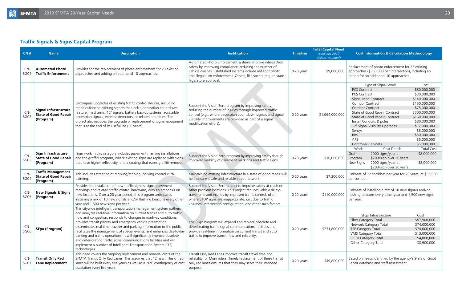### **Traffic Signals & Signs Capital Program**

| CN#         | <b>Name</b>                                                              | <b>Description</b>                                                                                                                                                                                                                                                                                                                                                                                                                                                                                                                                                                                                                                                   | <b>Justification</b>                                                                                                                                                                                                                                                                                                      | <b>Timeline</b> | <b>Total Capital Need</b><br>(constant 2019)<br>dollars, rounded) | <b>Cost Information &amp; Calculation Methodology</b>                                                                                                                                                                                                                                                                                                                                                                                                                                                                                                    |
|-------------|--------------------------------------------------------------------------|----------------------------------------------------------------------------------------------------------------------------------------------------------------------------------------------------------------------------------------------------------------------------------------------------------------------------------------------------------------------------------------------------------------------------------------------------------------------------------------------------------------------------------------------------------------------------------------------------------------------------------------------------------------------|---------------------------------------------------------------------------------------------------------------------------------------------------------------------------------------------------------------------------------------------------------------------------------------------------------------------------|-----------------|-------------------------------------------------------------------|----------------------------------------------------------------------------------------------------------------------------------------------------------------------------------------------------------------------------------------------------------------------------------------------------------------------------------------------------------------------------------------------------------------------------------------------------------------------------------------------------------------------------------------------------------|
| CN-<br>SG01 | <b>Automated Photo</b><br><b>Traffic Enforcement</b>                     | Provides for the replacement of photo enforcement for 23 existing<br>approaches and adding an additional 10 approaches.                                                                                                                                                                                                                                                                                                                                                                                                                                                                                                                                              | Automated Photo Enforcement systems improve intersection<br>safety by improving compliance, reducing the number of<br>vehicle crashes. Established systems include red light photo<br>and illegal turn enforcement. Others, like speed, require state<br>legislature approval.                                            | 0-20 years      | \$9,000,000                                                       | Replacement of photo enforcement for 23 existing<br>approaches (\$300,000 per intersection), including an<br>option for an additional 10 approaches.                                                                                                                                                                                                                                                                                                                                                                                                     |
| CN-<br>SG02 | <b>Signal Infrastructure</b><br><b>State of Good Repair</b><br>(Program) | Encompass upgrades of existing traffic control devices, including<br>modifications to existing signals that lack a pedestrian countdown<br>feature, mast arms, 12" signals, battery backup systems, accessible<br>pedestrian signals, wireless detectors, or related amenities. The<br>project also includes the upgrade or replacement of signal equipment<br>that is at the end of its useful life (50 years).                                                                                                                                                                                                                                                     | Support the Vision Zero program by improving safety,<br>reducing the number of injuries through improved traffic<br>control (e.g., where pedestrian countdown signals and signal<br>visibility improvements are provided as part of a signal<br>modification effort).                                                     | 0-20 years      | \$1,064,000,000                                                   | Type of Signal Work<br>Cost<br>PCS Contract<br>\$80,000,000<br>\$30,000,000<br><b>PCS Contract</b><br>Signal Mod Contract<br>\$140,000,000<br>Corridor Contract<br>\$150,000,000<br>Corridor Contract<br>\$75,000,000<br>\$300,000,000<br>State of Good Repair Contract<br>\$150,000,000<br>State of Good Repair Contract<br>Install Conduits & poles<br>\$80,000,000<br>12" Signal Visibility Upgrades<br>\$12,000,000<br>\$6,000,000<br>Sensys<br><b>BBS</b><br>\$30,000,000<br><b>APS</b><br>\$6,000,000<br><b>Controller Cabinets</b><br>\$5,000,000 |
| CN-<br>SG03 | <b>Sign Infrastructure</b><br><b>State of Good Repair</b><br>(Program)   | Sign work in this category includes pavement marking installations<br>and the graffiti program, where existing signs are replaced with signs<br>that have higher reflectivity, and a coating that eases graffiti removal.                                                                                                                                                                                                                                                                                                                                                                                                                                            | Support the Vision Zero program by improving safety though<br>improved visibility of pavement markings and traffic signs.                                                                                                                                                                                                 | 0-20 years      | \$16,000,000                                                      | <b>Total Cost</b><br>Cost Details<br>Work<br>Graffiti<br>2000 signs/year at<br>\$8,000,000<br>Program<br>\$200/sign over 20 years<br>2000 signs/year at<br>New Signs<br>\$8,000,000<br>\$200/sign over 20 years                                                                                                                                                                                                                                                                                                                                          |
| CN-<br>SG04 | <b>Traffic Management</b><br><b>State of Good Repair</b><br>(Program)    | This includes street paint marking/striping, parking control curb<br>painting.                                                                                                                                                                                                                                                                                                                                                                                                                                                                                                                                                                                       | Maintaining existing infrastructure in a state of good repair will<br>help ensure a safe and reliable street network.                                                                                                                                                                                                     | 0-20 years      | \$7,200,000                                                       | Estimate of 12 corridors per year for 20 years, at \$30,000<br>per corridor.                                                                                                                                                                                                                                                                                                                                                                                                                                                                             |
| CN-<br>SG05 | <b>New Signals &amp; Signs</b><br>(Program)                              | Provides for installation of new traffic signals, signs, pavement<br>markings and related traffic control hardware, with an emphasis on<br>new locations. Over a 20-year period, this program anticipates<br>installing a mix of 10 new signals and/or flashing beacons every other<br>year and 1,500 new signs per year.                                                                                                                                                                                                                                                                                                                                            | Support the Vision Zero project to improve safety at crash or<br>other problem locations. This project reduces vehicle delays,<br>travel time and injuries by improved traffic control, often<br>where STOP signs are inappropriate, i.e., due to traffic<br>volumes, intersection configuration, and other such factors. | 0-20 years      | \$110,000,000                                                     | Estimate of installing a mix of 10 new signals and/or<br>flashing beacons every other year and 1,500 new signs<br>per year.                                                                                                                                                                                                                                                                                                                                                                                                                              |
| CN-<br>SG06 | SFgo (Program)                                                           | This citywide intelligent transportation management system gathers<br>and analyzes real-time information on current transit and auto traffic<br>flow and congestion; responds to changes in roadway conditions;<br>provides transit priority and emergency vehicle preemption;<br>disseminates real-time traveler and parking information to the public;<br>facilitates the management of special events; and enhances day-to-day<br>parking and traffic operations. It will significantly improve obsolete<br>and deteriorating traffic signal communications facilities and will<br>implement a number of Intelligent Transportation System (ITS)<br>technologies. | The SFgo Program will expand and replace obsolete and<br>deteriorating traffic signal communications facilities and<br>provide real-time information on current transit and auto<br>traffic to improve transit flow and reliability.                                                                                      | 0-20 years      | \$231,800,000                                                     | SFgo Infrastructure<br>Cost<br>Fiber Category Total<br>\$57,900,000<br>Network Category Total<br>\$74,000,000<br><b>TSP Category Total</b><br>\$74,000,000<br>VMS Category Total<br>\$13,000,000<br>\$4,000,000<br><b>CCTV Category Total</b><br>Other Category Total<br>\$8,900,000                                                                                                                                                                                                                                                                     |
| CN-<br>SG07 | <b>Transit Only Red</b><br><b>Lane Replacement</b>                       | This need covers the ongoing replacement and renewal costs of the<br>SFMTA Transit Only Red Lanes. This assumes that 12 new miles of red<br>lanes will be built every five years as well as a 20% contingency of cost<br>escalation every five years.                                                                                                                                                                                                                                                                                                                                                                                                                | Transit Only Red Lanes improve transit travel time and<br>reliability for Muni riders. Timely replacement of these transit<br>only red lanes ensures that they may serve their intended<br>purpose.                                                                                                                       | 0-20 years      | \$49,800,000                                                      | Based on needs identified by the agency's State of Good<br>Repair database and staff assessment.                                                                                                                                                                                                                                                                                                                                                                                                                                                         |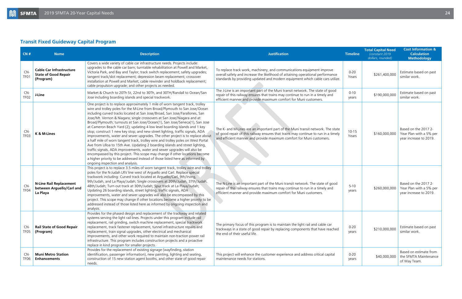### <span id="page-23-0"></span>**Transit Fixed Guideway Capital Program**

| CN#                     | <b>Name</b>                                                                 | <b>Description</b>                                                                                                                                                                                                                                                                                                                                                                                                                                                                                                                                                                                                                                                                                                                                                                                                                                                                                                                                                                                                                                                                                         | <b>Justification</b>                                                                                                                                                                                                                          | <b>Timeline</b>    | <b>Total Capital Need</b><br>(constant 2019)<br>dollars, rounded) | <b>Cost Information &amp;</b><br><b>Calculation</b><br><b>Methodology</b> |
|-------------------------|-----------------------------------------------------------------------------|------------------------------------------------------------------------------------------------------------------------------------------------------------------------------------------------------------------------------------------------------------------------------------------------------------------------------------------------------------------------------------------------------------------------------------------------------------------------------------------------------------------------------------------------------------------------------------------------------------------------------------------------------------------------------------------------------------------------------------------------------------------------------------------------------------------------------------------------------------------------------------------------------------------------------------------------------------------------------------------------------------------------------------------------------------------------------------------------------------|-----------------------------------------------------------------------------------------------------------------------------------------------------------------------------------------------------------------------------------------------|--------------------|-------------------------------------------------------------------|---------------------------------------------------------------------------|
| CN-<br>TF <sub>01</sub> | <b>Cable Car Infrastructure</b><br><b>State of Good Repair</b><br>(Program) | Covers a wide variety of cable car infrastructure needs. Projects include:<br>upgrades to the cable car barn; turntable rehabilitation at Powell and Market,<br>Victoria Park, and Bay and Taylor; track switch replacement; safety upgrades;<br>tangent track/slot replacement; depression beam replacement; crossover<br>installation at Powell and Market; cable rewinder and holdback replacement;<br>cable propulsion upgrade; and other projects as needed.                                                                                                                                                                                                                                                                                                                                                                                                                                                                                                                                                                                                                                          | To replace track work, machinery, and communications equipment improve<br>overall safety and increase the likelihood of attaining operational performance<br>standards by providing updated and modern equipment which cable cars utilize.    | $0 - 20$<br>Years  | \$261,400,000                                                     | Estimate based on past<br>similar work.                                   |
| CN-<br>TF <sub>02</sub> | J-Line                                                                      | Market & Church to 20Th St, 22nd to 30Th, and 30TH/Randall to Ocean/San<br>Jose including boarding islands and special trackwork.                                                                                                                                                                                                                                                                                                                                                                                                                                                                                                                                                                                                                                                                                                                                                                                                                                                                                                                                                                          | The J-Line is an important part of the Muni transit network. The state of good<br>repair of this railway ensures that trains may continue to run in a timely and<br>efficient manner and provide maximum comfort for Muni customers.          | $0 - 10$<br>years  | \$190,000,000                                                     | Estimate based on past<br>similar work.                                   |
| CN-<br>TF <sub>03</sub> | K & M-Lines                                                                 | One project is to replace approximately 1 mile of worn tangent track, trolley<br>wire and trolley poles for the M-Line from Broad/Plymouth to San Jose/Ocean<br>including curved tracks located at San Jose/Broad, San Jose/Farallones, San<br>Jose/Mt. Vernon & Niagara; single crossovers at San Jose/Niagara and at<br>Broad/Plymouth; turnouts at San Jose/Ocean(1), San Jose/Seneca(1), San Jose<br>at Cameron Beach Yard (2); updating 4 low level boarding islands and 1 key<br>stop; construct 1 new key stop; and new street lighting, traffic signals, ADA<br>improvements, water and sewer upgrades. The other project is to replace about<br>a half mile of worn tangent track, trolley wire and trolley poles on West Portal<br>Ave from Ulloa to 15th Ave. Updating 2 boarding islands and street lighting,<br>traffic signals, ADA improvements, water and sewer upgrades will also be<br>encompassed by this project. This scope may change if other locations become<br>a higher priority to be addressed instead of those listed here as informed by<br>ongoing inspection and analysis. | The K- and M-Lines are an important part of the Muni transit network. The state<br>of good repair of this railway ensures that trains may continue to run in a timely<br>and efficient manner and provide maximum comfort for Muni customers. | $10 - 15$<br>Years | \$160,000,000                                                     | Based on the 2017 2-<br>Year Plan with a 5% per<br>year increase to 2019. |
| CN-<br>TF <sub>04</sub> | <b>N-Line Rail Replacement</b><br>between Arguello/Carl and<br>La Playa     | This project is to replace 3.5 miles of worn tangent track, trolley wire and trolley<br>poles for the N-Judah LRV line west of Arguello and Carl. Replace special<br>trackwork including: Curved track located at Arguello/Carl, 9th/Irving,<br>9th/Judah, and La Playa/Judah; Single crossovers at 20th/Judah, 37th/Judah,<br>48th/Judah; Turn out track at 30th/Judah; Spur track at La Playa/Judah;<br>Updating 26 boarding islands, street lighting, traffic signals, ADA<br>improvements, water and sewer upgrades will also be encompassed by this<br>project. This scope may change if other locations become a higher priority to be<br>addressed instead of those listed here as informed by ongoing inspection and<br>analysis.                                                                                                                                                                                                                                                                                                                                                                  | The N-Line is an important part of the Muni transit network. The state of good<br>repair of this railway ensures that trains may continue to run in a timely and<br>efficient manner and provide maximum comfort for Muni customers.          | $5 - 10$<br>years  | \$260,000,000                                                     | Based on the 2017 2-<br>Year Plan with a 5% per<br>year increase to 2019. |
| CN-<br>TF05             | <b>Rail State of Good Repair</b><br>(Program)                               | Provides for the phased design and replacement of the trackway and related<br>systems serving the light rail lines. Projects under this program include rail<br>replacement, rail grinding, switch machine replacement, special trackwork<br>replacement, track fastener replacement, tunnel infrastructure repairs and<br>replacement, train signal upgrades, other electrical and mechanical<br>improvements, and other work required to maintain non-traction power rail<br>infrastructure. This program includes construction projects and a proactive<br>replace in kind program for smaller projects.                                                                                                                                                                                                                                                                                                                                                                                                                                                                                                | The primary focus of this program is to maintain the light rail and cable car<br>trackways in a state of good repair by replacing components that have reached<br>the end of their useful life.                                               | $0 - 20$<br>years  | \$210,000,000                                                     | Estimate based on past<br>similar work.                                   |
| CN-<br>TF <sub>06</sub> | <b>Muni Metro Station</b><br><b>Enhancements</b>                            | Provides for the replacement of existing signage (wayfinding, station<br>identification, passenger information), new painting, lighting and seating,<br>construction of 15 new station agent booths, and other state of good repair<br>needs.                                                                                                                                                                                                                                                                                                                                                                                                                                                                                                                                                                                                                                                                                                                                                                                                                                                              | This project will enhance the customer experience and address critical capital<br>maintenance needs for stations.                                                                                                                             | $0 - 20$<br>years  | \$40,000,000                                                      | Based on estimate from<br>the SFMTA Maintenance<br>of Way Team.           |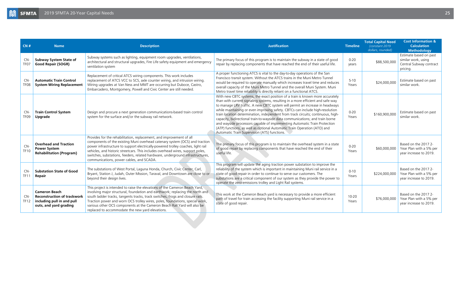<span id="page-24-0"></span>

| CN#                     | <b>Name</b>                                                                                                        | <b>Description</b>                                                                                                                                                                                                                                                                                                                                                                                                                                             | <b>Justification</b>                                                                                                                                                                                                                                                                                                                                                                                                                                                                                                                                                                                                                                                                                            | <b>Timeline</b>    | <b>Total Capital Need</b><br>(constant 2019)<br>dollars, rounded) | <b>Cost Information &amp;</b><br><b>Calculation</b><br><b>Methodology</b>            |
|-------------------------|--------------------------------------------------------------------------------------------------------------------|----------------------------------------------------------------------------------------------------------------------------------------------------------------------------------------------------------------------------------------------------------------------------------------------------------------------------------------------------------------------------------------------------------------------------------------------------------------|-----------------------------------------------------------------------------------------------------------------------------------------------------------------------------------------------------------------------------------------------------------------------------------------------------------------------------------------------------------------------------------------------------------------------------------------------------------------------------------------------------------------------------------------------------------------------------------------------------------------------------------------------------------------------------------------------------------------|--------------------|-------------------------------------------------------------------|--------------------------------------------------------------------------------------|
| CN-<br>TF <sub>07</sub> | <b>Subway System State of</b><br><b>Good Repair (SOGR)</b>                                                         | Subway systems such as lighting, equipment room upgrades, ventilations,<br>architectural and structural upgrades, Fire Life safety equipment and emergency<br>ventilation system                                                                                                                                                                                                                                                                               | The primary focus of this program is to maintain the subway in a state of good<br>repair by replacing components that have reached the end of their useful life.                                                                                                                                                                                                                                                                                                                                                                                                                                                                                                                                                | $0 - 20$<br>years  | \$88,500,000                                                      | Estimate based on past<br>similar work, using<br>Central Subway contract<br>pricing. |
| $CN-$<br>TF08           | <b>Automatic Train Control</b><br><b>System Wiring Replacement</b>                                                 | Replacement of critical ATCS wiring components. This work includes<br>replacement of ATCS VCC to SCS, axle counter wiring, and intrusion wiring.<br>Wiring upgrades at Van Ness and MMT are occurring but Duboce, Castro,<br>Embarcadero, Montgomery, Powell and Civic Center are still needed.                                                                                                                                                                | A proper functioning ATCS is vital to the day-to-day operations of the San<br>Francisco transit system. Without the ATCS trains in the Muni Metro Tunnel<br>would be required to operate manually which increases travel time and reduces<br>overall capacity of the Muni Metro Tunnel and the overall Muni System. Muni<br>Metro travel time reliability is directly reliant on a functional ATCS.                                                                                                                                                                                                                                                                                                             | $5 - 10$<br>Years  | \$24,000,000                                                      | Estimate based on past<br>similar work.                                              |
| CN-<br>TF <sub>09</sub> | <b>Train Control System</b><br>Upgrade                                                                             | Design and procure a next generation communications-based train control<br>system for the surface and/or the subway rail network.                                                                                                                                                                                                                                                                                                                              | With new CBTC systems, the exact position of a train is known more accurately<br>than with current signaling systems, resulting in a more efficient and safe way<br>to manage LRV traffic. A new CBTC system will permit an increase in headways<br>while maintaining or even improving safety. CBTCs can include high-resolution<br>train location determination, independent from track circuits; continuous, high-<br>capacity, bidirectional train-to-wayside data communications; and train borne<br>and wayside processors capable of implementing Automatic Train Protection<br>(ATP) functions, as well as optional Automatic Train Operation (ATO) and<br>Automatic Train Supervision (ATS) functions. | $0 - 20$<br>Years  | \$160,900,000                                                     | Estimate based on past<br>similar work.                                              |
| CN-<br><b>TF10</b>      | <b>Overhead and Traction</b><br><b>Power System</b><br><b>Rehabilitation (Program)</b>                             | Provides for the rehabilitation, replacement, and improvement of all<br>components of the existing Muni overhead catenary system (OCS) and traction<br>power infrastructure to support electrically-powered trolley coaches, light rail<br>vehicles, and historic streetcars. This includes overhead wires, support poles,<br>switches, substations, feeders, related hardware, underground infrastructures,<br>communications, power cables, and SCADA.       | The primary focus of this program is to maintain the overhead system in a state<br>of good repair by replacing components that have reached the end of their<br>useful life.                                                                                                                                                                                                                                                                                                                                                                                                                                                                                                                                    | $0 - 20$<br>Years  | \$60,000,000                                                      | Based on the 2017 2-<br>Year Plan with a 5% per<br>year increase to 2019.            |
| $CN-$<br><b>TF11</b>    | <b>Substation State of Good</b><br>Repair                                                                          | The substations of West Portal, Laguna Honda, Church, Civic Center, Carl,<br>Bryant, Station J, Judah, Outer Mission, Taraval, and Downtown are close to or<br>beyond their design lives.                                                                                                                                                                                                                                                                      | This program will update the aging traction power substation to improve the<br>reliability of the system which is important in maintaining Muni rail service in a<br>state of good repair in order to continue to serve our customers. The<br>substations are a critical component of our system as they provide the power to<br>operate the zero-emissions trolley and Light Rail systems.                                                                                                                                                                                                                                                                                                                     | $0 - 10$<br>Years  | \$224,000,000                                                     | Based on the 2017 2-<br>Year Plan with a 5% per<br>year increase to 2019.            |
| $CN-$<br><b>TF12</b>    | <b>Cameron Beach</b><br><b>Reconstruction of trackwork</b><br>including pull in and pull<br>outs, and yard grading | This project is intended to raise the elevations of the Cameron Beach Yard,<br>involving major structural, foundation and earthwork; replacing the north and<br>south ladder tracks, tangents tracks, track switches, frogs and closure rails.<br>Traction power and worn OCS trolley wires, poles, foundations, special work,<br>various other OCS components at the Cameron Beach Rail Yard will also be<br>replaced to accommodate the new yard elevations. | This work at the Cameron Beach yard is necessary to provide a more efficient<br>path of travel for train accessing the facility supporting Muni rail service in a<br>state of good repair.                                                                                                                                                                                                                                                                                                                                                                                                                                                                                                                      | $10 - 20$<br>Years | \$76,000,000                                                      | Based on the 2017 2-<br>Year Plan with a 5% per<br>year increase to 2019.            |
|                         |                                                                                                                    |                                                                                                                                                                                                                                                                                                                                                                                                                                                                |                                                                                                                                                                                                                                                                                                                                                                                                                                                                                                                                                                                                                                                                                                                 |                    |                                                                   |                                                                                      |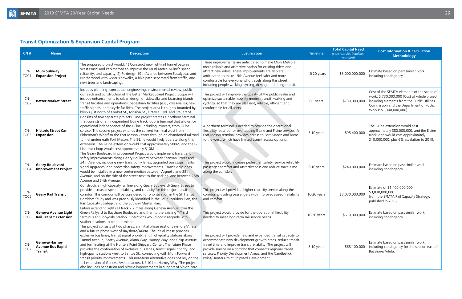### **Transit Optimization & Expansion Capital Program**

| CN#                       | <b>Name</b>                                                 | <b>Description</b>                                                                                                                                                                                                                                                                                                                                                                                                                                                                                                                                                                                                                                                                                                                                                                                     | <b>Justification</b>                                                                                                                                                                                                                                                                                                                                                  | <b>Timeline</b> | <b>Total Capital Need</b><br>(constant 2019 dollars,<br>rounded) | <b>Cost Information &amp; Calculation</b><br><b>Methodology</b>                                                                                                                                                 |
|---------------------------|-------------------------------------------------------------|--------------------------------------------------------------------------------------------------------------------------------------------------------------------------------------------------------------------------------------------------------------------------------------------------------------------------------------------------------------------------------------------------------------------------------------------------------------------------------------------------------------------------------------------------------------------------------------------------------------------------------------------------------------------------------------------------------------------------------------------------------------------------------------------------------|-----------------------------------------------------------------------------------------------------------------------------------------------------------------------------------------------------------------------------------------------------------------------------------------------------------------------------------------------------------------------|-----------------|------------------------------------------------------------------|-----------------------------------------------------------------------------------------------------------------------------------------------------------------------------------------------------------------|
| $CN-$<br>TO <sub>01</sub> | <b>Muni Subway</b><br><b>Expansion Project</b>              | The proposed project would: 1) Construct new light-rail tunnel between<br>West Portal and Parkmerced to improve the Muni Metro M-line's speed,<br>reliability, and capacity; 2) Re-design 19th Avenue between Eucalyptus and<br>Brotherhood with wider sidewalks, a bike path separated from traffic, and<br>new trees and landscaping.                                                                                                                                                                                                                                                                                                                                                                                                                                                                | These improvements are anticipated to make Muni Metro a<br>more reliable and attractive option for existing riders and<br>attract new riders. These improvements are also are<br>anticipated to make 19th Avenue feel safer and more<br>comfortable for everyone who travels along this street,<br>including people walking, cycling, driving, and riding transit.    | 10-20 years     | \$3,000,000,000                                                  | Estimate based on past similar work,<br>including contingency.                                                                                                                                                  |
| CN-<br><b>TO02</b>        | <b>Better Market Street</b>                                 | Includes planning, conceptual engineering, environmental review, public<br>outreach and construction of the Better Market Street Project. Scope will<br>include enhancements to urban design of sidewalks and boarding islands,<br>transit facilities and operations, pedestrian facilities (e.g., crosswalks), new<br>traffic signals, and bicycle facilities. The project area is roughly bounded by<br>blocks just north of Market St., Mission St., Octavia Blvd. and Steuart St.                                                                                                                                                                                                                                                                                                                  | This project will improve the quality of the public realm and<br>optimize sustainable mobility modes (transit, walking and<br>cycling), so that they are pleasant, reliable, efficient and<br>comfortable for all users.                                                                                                                                              | 0-5 years       | \$730,000,000                                                    | Cost of the SFMTA elements of the scope of<br>work: \$730,000,000 (Cost of whole project<br>including elements from the Public Utilities<br>Commission and the Department of Public<br>Works: \$1,300,000,000). |
| CN-<br><b>TO03</b>        | <b>Historic Street Car</b><br><b>Expansion</b>              | Consists of two separate projects. One project creates a northern terminal<br>that consists of an independent E-Line track loop & terminal that allows for<br>operational independence of the F-Line, including layovers, from E-Line<br>service. The second project extends the current terminal west from<br>Fisherman's Wharf to the Fort Mason Center through an abandoned railroad<br>tunnel underneath Fort Mason. The E-Line would likely operate along this<br>extension. The F-Line extension would cost approximately \$80M, and the E-<br>Line track loop would cost approximately \$10M.                                                                                                                                                                                                   | A northern terminal is needed to provide the operational<br>flexibility required for overlapping E-Line and F-Line services. A<br>Fort Mason terminal provides access to Fort Mason and areas<br>to the west, which have limited transit access options.                                                                                                              | 5-10 years      | \$95,400,000                                                     | The F-Line extension would cost<br>approximately \$80,000,000, and the E-Line<br>track loop would cost approximately<br>\$10,000,000, plus 6% escalation to 2019.                                               |
| CN-<br><b>TO04</b>        | <b>Geary Boulevard</b><br><b>Improvement Project</b>        | The Geary Boulevard Improvement Project would implement transit and<br>safety improvements along Geary Boulevard between Stanyan Street and<br>34th Avenue, including new transit-only lanes, upgraded bus stops, traffic<br>signal upgrades, and pedestrian safety improvements. Transit only lanes<br>would be installed in a new center-median between Arguello and 28th<br>Avenue, and on the side of the street next to the parking lane between 28th<br>Avenue and 34th Avenue.                                                                                                                                                                                                                                                                                                                  | This project would increase pedestrian safety, service reliability,<br>passenger comfort and attractiveness and reduce travel time<br>along the corridor.                                                                                                                                                                                                             | 0-10 years      | \$240,000,000                                                    | Estimate based on past similar work,<br>including contingency.                                                                                                                                                  |
| CN-<br><b>TO05</b>        | <b>Geary Rail Transit</b>                                   | Constructs a high capacity rail line along Geary Boulevard/Geary Street to<br>provide increased speed, reliability, and capacity for this major transit<br>corridor. This corridor will be considered for prioritization in the SF Transit<br>Corridors Study and was previously identified in the Four Corridors Plan, the<br>Rail Capacity Strategy, and the Subway Master Plan.                                                                                                                                                                                                                                                                                                                                                                                                                     | This project will provide a higher capacity service along the<br>corridor, providing passengers with improved speed, reliability<br>and comfort.                                                                                                                                                                                                                      | 10-20 years     | \$3,030,000,000                                                  | Estimate of \$1,400,000,000 -<br>\$3,030,000,000<br>from the SFMTA Rail Capacity Strategy,<br>published in 2016                                                                                                 |
| $CN-$<br>TO06             | <b>Geneva Avenue Light</b><br><b>Rail Transit Extension</b> | Entails extending light rail track 2.7 miles along Geneva Avenue from the<br>Green Railyard to Bayshore Boulevard and then to the existing T-Third<br>terminus at Sunnydale Station. Operations would occur at grade with<br>station locations to be determined                                                                                                                                                                                                                                                                                                                                                                                                                                                                                                                                        | This project would provide for the operational flexibility<br>needed to meet long-term rail service needs.                                                                                                                                                                                                                                                            | 10-20 years     | \$610,000,000                                                    | Estimate based on past similar work,<br>including contingency.                                                                                                                                                  |
| $CN-$<br><b>TO07</b>      | Geneva/Harney<br><b>Avenue Bus Rapid</b><br>Transit         | This project consists of two phases: an initial phase east of Bayshore/Arleta<br>and a future phase west of Bayshore/Arleta. The initial Phase provides<br>exclusive bus lanes, transit signal priority, and high-quality stations along<br>Tunnel Avenue, Beatty Avenue, Alana Way, Harney Way, and Crisp Avenue,<br>and terminating at the Hunters Point Shipyard Center. The future Phase<br>provides the continuation of exclusive bus lanes, transit signal priority, and<br>high-quality stations west to Santos St., connecting with Muni Forward<br>transit priority improvements. This near-term alternative does not rely on the<br>full extension of Geneva Avenue across US 101 to Harney Way. The project<br>also includes pedestrian and bicycle improvements in support of Vision Zero. | This project will provide new and expanded transit capacity to<br>accommodate new development growth areas, reduce transit<br>travel time and improve transit reliability. The project will<br>provide service on a corridor that connects regional transit<br>services, Priority Development Areas, and the Candlestick<br>Point/Hunters Point Shipyard Development. | 5-10 years      | \$68,100,000                                                     | Estimate based on past similar work,<br>including contingency for the section east of<br>Bayshore/Arleta.                                                                                                       |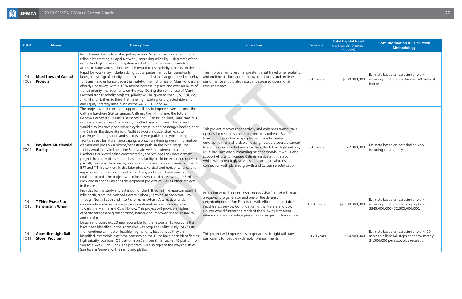| CN#                | <b>Name</b>                                            | <b>Description</b>                                                                                                                                                                                                                                                                                                                                                                                                                                                                                                                                                                                                                                                                                                                                                                                                                                                                                                                                                                                                                                                                                                                                                                                                                                                                                                                                                      | <b>Justification</b>                                                                                                                                                                                                                                                                                                                                                                                                                                                                                                                                                              | <b>Timeline</b> | <b>Total Capital Need</b><br>(constant 2019 dollars,<br>rounded) | <b>Cost Information &amp; Calculation</b><br><b>Methodology</b>                                                                   |
|--------------------|--------------------------------------------------------|-------------------------------------------------------------------------------------------------------------------------------------------------------------------------------------------------------------------------------------------------------------------------------------------------------------------------------------------------------------------------------------------------------------------------------------------------------------------------------------------------------------------------------------------------------------------------------------------------------------------------------------------------------------------------------------------------------------------------------------------------------------------------------------------------------------------------------------------------------------------------------------------------------------------------------------------------------------------------------------------------------------------------------------------------------------------------------------------------------------------------------------------------------------------------------------------------------------------------------------------------------------------------------------------------------------------------------------------------------------------------|-----------------------------------------------------------------------------------------------------------------------------------------------------------------------------------------------------------------------------------------------------------------------------------------------------------------------------------------------------------------------------------------------------------------------------------------------------------------------------------------------------------------------------------------------------------------------------------|-----------------|------------------------------------------------------------------|-----------------------------------------------------------------------------------------------------------------------------------|
| CN-<br><b>TO08</b> | <b>Muni Forward Capital</b><br>Projects                | Muni Forward aims to make getting around San Francisco safer and more<br>reliable by creating a Rapid Network, improving reliability, using state-of-the-<br>art technology to make the system run better, and enhancing safety and<br>access to stops and stations. Muni Forward transit priority projects on the<br>Rapid Network may include adding bus or pedestrian bulbs, transit-only<br>lanes, transit signal priority, and other street design changes to reduce delay<br>for transit and enhance pedestrian safety. The first phase of Muni Forward is<br>already underway, with a 10% service increase in place and over 40 miles of<br>transit priority improvements on the way. During the next phase of Muni<br>Forward transit priority projects, priority will be given to lines 1, 5, 7, 8, 22,<br>J, K, M and N, then to lines that have high existing or projected ridership<br>and Equity Strategy lines, such as the 24, 29, 43, and 44.                                                                                                                                                                                                                                                                                                                                                                                                           | The improvements result in greater transit travel time reliability<br>and on-time performance. Improved reliability and on-time<br>performance should also result in decreased operational<br>resource needs.                                                                                                                                                                                                                                                                                                                                                                     | 0-10 years      | \$300,000,000                                                    | Estimate based on past similar work,<br>including contingency, for over 40 miles of<br>improvements.                              |
| CN-<br><b>TO09</b> | <b>Bayshore Multimodal</b><br><b>Facility</b>          | The project would construct support facilities to improve transfers near the<br>Caltrain Bayshore Station among Caltrain, the T-Third line, the future<br>Geneva Harney BRT, Muni 8 Bayshore and 9 San Bruno lines, SamTrans bus<br>service, and employee/community shuttle buses and vans. This project<br>would also improve pedestrian/bicycle access to and passenger loading near<br>the Caltrain Bayshore Station. Facilities would include: shuttle/auto<br>passenger loading space and shelters, bicycle parking, bicycle sharing<br>facility, street furniture, landscaping, a plaza, wayfinding signs, information<br>displays and possibly a bicycle/pedestrian path. In the initial stage, the<br>facility would be sited near the Sunnydale Avenue extension east of<br>Bayshore Boulevard being constructed by the Schlage Lock development<br>project. In a potential second phase, this facility could be expanded or even<br>partially relocated to a nearby location to improve Caltrain connections with<br>BRT and T-Third service. In this later phase, vertical and horizontal circulation<br>improvements, ticket/information facilities, and an enclosed waiting area<br>could be added. The project would be closely coordinated with the Schlage<br>Lock and Brisbane Baylands development projects as well as other projects<br>in the area. | This project improves connectivity and enhances transit travel<br>options for residents and employees of southeast San<br>Francisco, supporting major planned transit-oriented<br>development and affordable housing. It would address current<br>limited connections between Caltrain, the T-Third light rail line,<br>Muni bus lines and surrounding neighborhoods. It would also<br>support efforts to increase Caltrain service at this station,<br>which will increasingly serve as a major regional transit<br>connection with planned growth and Caltrain electrification. | 5-10 years      | \$22,000,000                                                     | Estimate based on past similar work,<br>including contingency.                                                                    |
| CN-<br>TO10.       | T Third Phase 3 to<br><b>Fisherman's Wharf</b>         | Provides for the study and extension of the T Third rail line approximately 1<br>mile north, from the planned Central Subway terminal at Stockton/Clay<br>through North Beach and into Fisherman's Wharf. Alternatives under<br>consideration also include a possible continuation one mile westward<br>toward the Marina and Cow Hollow. This project will provide a higher<br>capacity service along the corridor, introducing improved speed, reliability<br>and comfort.                                                                                                                                                                                                                                                                                                                                                                                                                                                                                                                                                                                                                                                                                                                                                                                                                                                                                            | Extension would connect Fisherman's Wharf and North Beach,<br>a regional trip generator and one of the densest<br>neighborhoods in San Francisco, with efficient and reliable<br>rapid transit service. Continuation to the Marina and Cow<br>Hollow would further the reach of the subway into areas<br>where surface congestion presents challenges for bus service.                                                                                                                                                                                                            | 10-20 years     | \$2,000,000,000                                                  | Estimate based on past similar work,<br>including contingency, ranging from<br>\$643,000,000 - \$2,600,000,000.                   |
| CN-<br>TO11        | <b>Accessible Light Rail</b><br><b>Stops (Program)</b> | Design and construct 20 new accessible light rail stops at 10 locations that<br>have been identified in the Accessible Key Stop Feasibility Study (M679.0),<br>then continue with other feasible, high-priority locations as they are<br>identified. Accessible platform locations on the J Line have been identified as<br>high priority locations (OB platform on San Jose & Nantucket; IB platform on<br>San Jose Ave & San Juan). The program will also replace the wayside lift at<br>San Jose & Geneva with a ramp and platform.                                                                                                                                                                                                                                                                                                                                                                                                                                                                                                                                                                                                                                                                                                                                                                                                                                  | This project will improve passenger access to light rail transit,<br>particularly for people with mobility impairments.                                                                                                                                                                                                                                                                                                                                                                                                                                                           | 10-20 years     | \$30,400,000                                                     | Estimate based on past similar work; 20<br>accessible light rail stops at approximately<br>\$1,500,000 per stop, plus escalation. |